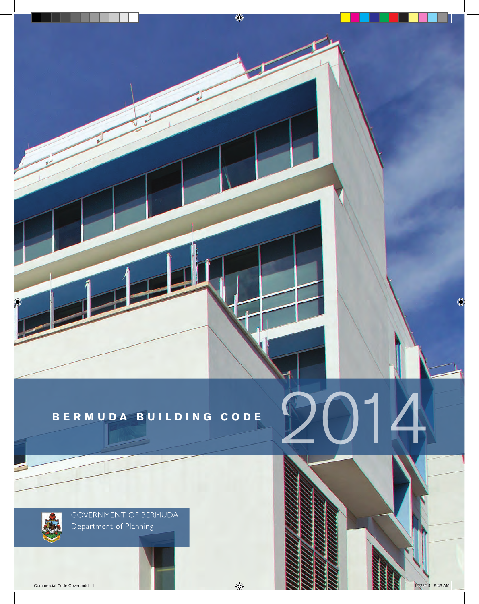



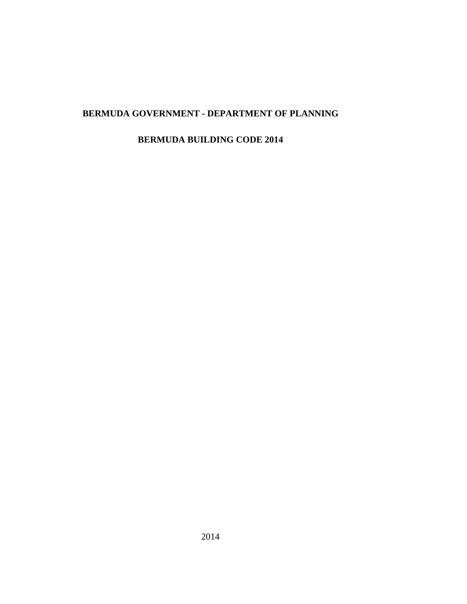# **BERMUDA GOVERNMENT - DEPARTMENT OF PLANNING**

### **BERMUDA BUILDING CODE 2014**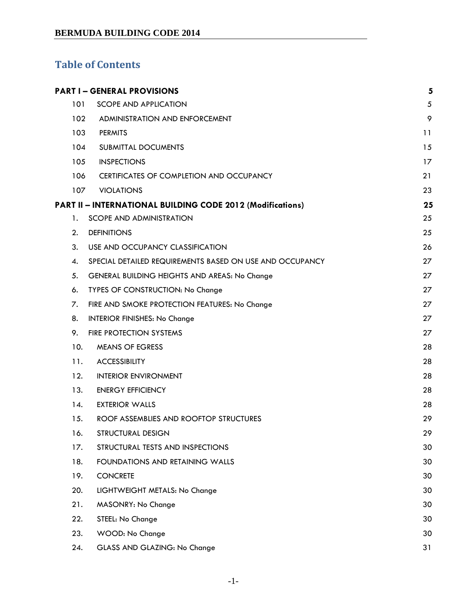# **Table of Contents**

|     | <b>PART I-GENERAL PROVISIONS</b>                           | 5  |
|-----|------------------------------------------------------------|----|
| 101 | <b>SCOPE AND APPLICATION</b>                               | 5  |
| 102 | ADMINISTRATION AND ENFORCEMENT                             | 9  |
| 103 | <b>PERMITS</b>                                             | 11 |
| 104 | <b>SUBMITTAL DOCUMENTS</b>                                 | 15 |
| 105 | <b>INSPECTIONS</b>                                         | 17 |
| 106 | CERTIFICATES OF COMPLETION AND OCCUPANCY                   | 21 |
| 107 | <b>VIOLATIONS</b>                                          | 23 |
|     | PART II - INTERNATIONAL BUILDING CODE 2012 (Modifications) | 25 |
| 1.  | <b>SCOPE AND ADMINISTRATION</b>                            | 25 |
| 2.  | <b>DEFINITIONS</b>                                         | 25 |
| 3.  | USE AND OCCUPANCY CLASSIFICATION                           | 26 |
| 4.  | SPECIAL DETAILED REQUIREMENTS BASED ON USE AND OCCUPANCY   | 27 |
| 5.  | GENERAL BUILDING HEIGHTS AND AREAS: No Change              | 27 |
| 6.  | TYPES OF CONSTRUCTION: No Change                           | 27 |
| 7.  | FIRE AND SMOKE PROTECTION FEATURES: No Change              | 27 |
| 8.  | <b>INTERIOR FINISHES: No Change</b>                        | 27 |
| 9.  | FIRE PROTECTION SYSTEMS                                    | 27 |
| 10. | <b>MEANS OF EGRESS</b>                                     | 28 |
| 11. | <b>ACCESSIBILITY</b>                                       | 28 |
| 12. | <b>INTERIOR ENVIRONMENT</b>                                | 28 |
| 13. | <b>ENERGY EFFICIENCY</b>                                   | 28 |
| 14. | <b>EXTERIOR WALLS</b>                                      | 28 |
| 15. | ROOF ASSEMBLIES AND ROOFTOP STRUCTURES                     | 29 |
| 16. | <b>STRUCTURAL DESIGN</b>                                   | 29 |
| 17. | STRUCTURAL TESTS AND INSPECTIONS                           | 30 |
| 18. | FOUNDATIONS AND RETAINING WALLS                            | 30 |
| 19. | <b>CONCRETE</b>                                            | 30 |
| 20. | LIGHTWEIGHT METALS: No Change                              | 30 |
| 21. | MASONRY: No Change                                         | 30 |
| 22. | STEEL: No Change                                           | 30 |
| 23. | WOOD: No Change                                            | 30 |
| 24. | GLASS AND GLAZING: No Change                               | 31 |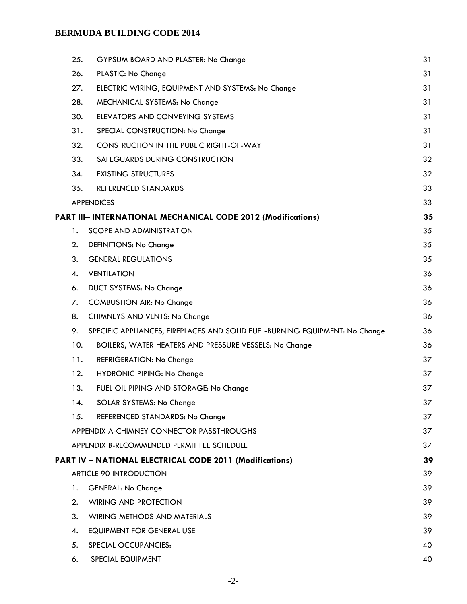| 25. | GYPSUM BOARD AND PLASTER: No Change                                         | 31 |
|-----|-----------------------------------------------------------------------------|----|
| 26. | PLASTIC: No Change                                                          | 31 |
| 27. | ELECTRIC WIRING, EQUIPMENT AND SYSTEMS: No Change                           | 31 |
| 28. | MECHANICAL SYSTEMS: No Change                                               | 31 |
| 30. | ELEVATORS AND CONVEYING SYSTEMS                                             | 31 |
| 31. | SPECIAL CONSTRUCTION: No Change                                             | 31 |
| 32. | <b>CONSTRUCTION IN THE PUBLIC RIGHT-OF-WAY</b>                              | 31 |
| 33. | SAFEGUARDS DURING CONSTRUCTION                                              | 32 |
| 34. | <b>EXISTING STRUCTURES</b>                                                  | 32 |
| 35. | REFERENCED STANDARDS                                                        | 33 |
|     | <b>APPENDICES</b>                                                           | 33 |
|     | PART III- INTERNATIONAL MECHANICAL CODE 2012 (Modifications)                | 35 |
| 1.  | <b>SCOPE AND ADMINISTRATION</b>                                             | 35 |
| 2.  | DEFINITIONS: No Change                                                      | 35 |
| 3.  | <b>GENERAL REGULATIONS</b>                                                  | 35 |
| 4.  | <b>VENTILATION</b>                                                          | 36 |
| 6.  | <b>DUCT SYSTEMS: No Change</b>                                              | 36 |
| 7.  | <b>COMBUSTION AIR: No Change</b>                                            | 36 |
| 8.  | CHIMNEYS AND VENTS: No Change                                               | 36 |
| 9.  | SPECIFIC APPLIANCES, FIREPLACES AND SOLID FUEL-BURNING EQUIPMENT: No Change | 36 |
| 10. | BOILERS, WATER HEATERS AND PRESSURE VESSELS: No Change                      | 36 |
| 11. | REFRIGERATION: No Change                                                    | 37 |
| 12. | <b>HYDRONIC PIPING: No Change</b>                                           | 37 |
| 13. | FUEL OIL PIPING AND STORAGE: No Change                                      | 37 |
| 14. | SOLAR SYSTEMS: No Change                                                    | 37 |
| 15. | REFERENCED STANDARDS: No Change                                             | 37 |
|     | APPENDIX A-CHIMNEY CONNECTOR PASSTHROUGHS                                   | 37 |
|     | APPENDIX B-RECOMMENDED PERMIT FEE SCHEDULE                                  | 37 |
|     | PART IV - NATIONAL ELECTRICAL CODE 2011 (Modifications)                     | 39 |
|     | <b>ARTICLE 90 INTRODUCTION</b>                                              | 39 |
| 1.  | <b>GENERAL: No Change</b>                                                   | 39 |
| 2.  | <b>WIRING AND PROTECTION</b>                                                | 39 |
| 3.  | WIRING METHODS AND MATERIALS                                                | 39 |
| 4.  | EQUIPMENT FOR GENERAL USE                                                   | 39 |
| 5.  | SPECIAL OCCUPANCIES:                                                        | 40 |
| 6.  | SPECIAL EQUIPMENT                                                           | 40 |
|     |                                                                             |    |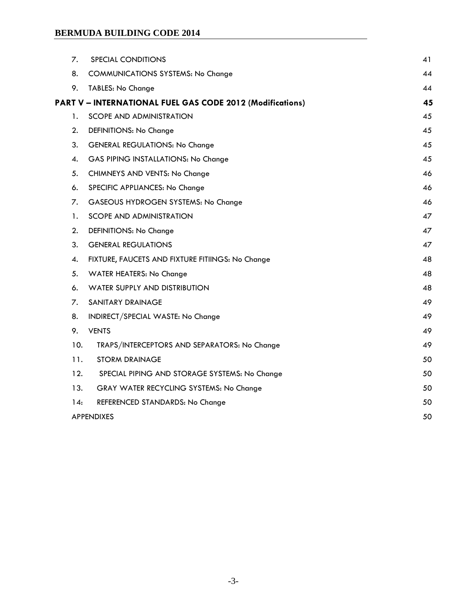| 7.  | SPECIAL CONDITIONS                                        | 41 |
|-----|-----------------------------------------------------------|----|
| 8.  | <b>COMMUNICATIONS SYSTEMS: No Change</b>                  | 44 |
| 9.  | TABLES: No Change                                         | 44 |
|     | PART V - INTERNATIONAL FUEL GAS CODE 2012 (Modifications) | 45 |
| 1.  | <b>SCOPE AND ADMINISTRATION</b>                           | 45 |
| 2.  | DEFINITIONS: No Change                                    | 45 |
| 3.  | <b>GENERAL REGULATIONS: No Change</b>                     | 45 |
| 4.  | GAS PIPING INSTALLATIONS: No Change                       | 45 |
| 5.  | CHIMNEYS AND VENTS: No Change                             | 46 |
| 6.  | SPECIFIC APPLIANCES: No Change                            | 46 |
| 7.  | GASEOUS HYDROGEN SYSTEMS: No Change                       | 46 |
| 1.  | <b>SCOPE AND ADMINISTRATION</b>                           | 47 |
| 2.  | DEFINITIONS: No Change                                    | 47 |
| 3.  | <b>GENERAL REGULATIONS</b>                                | 47 |
| 4.  | FIXTURE, FAUCETS AND FIXTURE FITIINGS: No Change          | 48 |
| 5.  | WATER HEATERS: No Change                                  | 48 |
| 6.  | WATER SUPPLY AND DISTRIBUTION                             | 48 |
| 7.  | SANITARY DRAINAGE                                         | 49 |
| 8.  | INDIRECT/SPECIAL WASTE: No Change                         | 49 |
| 9.  | <b>VENTS</b>                                              | 49 |
| 10. | TRAPS/INTERCEPTORS AND SEPARATORS: No Change              | 49 |
| 11. | <b>STORM DRAINAGE</b>                                     | 50 |
| 12. | SPECIAL PIPING AND STORAGE SYSTEMS: No Change             | 50 |
| 13. | GRAY WATER RECYCLING SYSTEMS: No Change                   | 50 |
| 14: | REFERENCED STANDARDS: No Change                           | 50 |
|     | <b>APPENDIXES</b>                                         | 50 |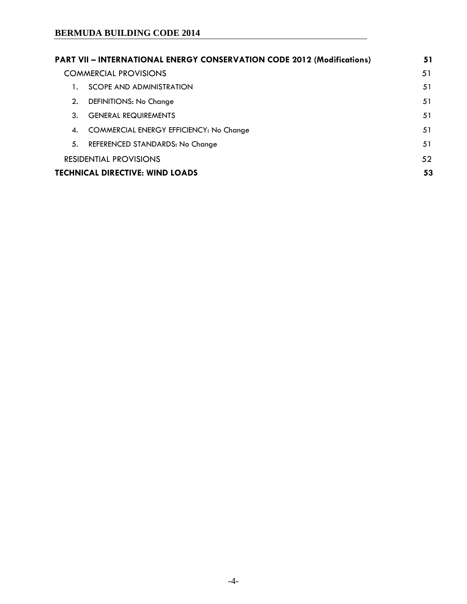|                                                      | <b>PART VII - INTERNATIONAL ENERGY CONSERVATION CODE 2012 (Modifications)</b> | 51 |
|------------------------------------------------------|-------------------------------------------------------------------------------|----|
| <b>COMMERCIAL PROVISIONS</b>                         |                                                                               | 51 |
| SCOPE AND ADMINISTRATION                             |                                                                               | 51 |
| 2.<br>DEFINITIONS: No Change                         |                                                                               | 51 |
| <b>GENERAL REQUIREMENTS</b><br>3.                    |                                                                               | 51 |
| <b>COMMERCIAL ENERGY EFFICIENCY: No Change</b><br>4. |                                                                               | 51 |
| 5.<br>REFERENCED STANDARDS: No Change                |                                                                               | 51 |
| <b>RESIDENTIAL PROVISIONS</b>                        |                                                                               | 52 |
| <b>TECHNICAL DIRECTIVE: WIND LOADS</b><br>53         |                                                                               |    |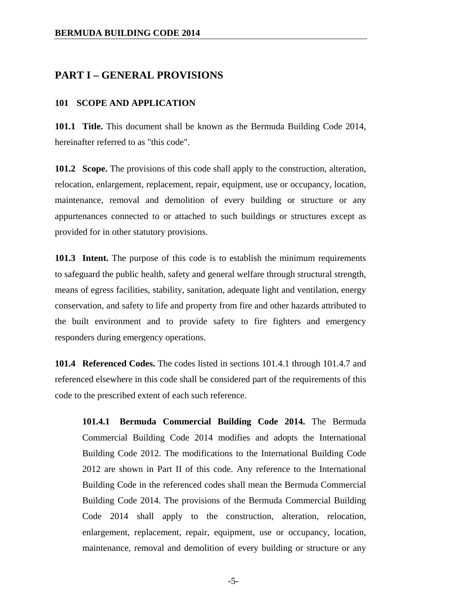#### **PART I – GENERAL PROVISIONS**

#### **101 SCOPE AND APPLICATION**

**101.1 Title.** This document shall be known as the Bermuda Building Code 2014, hereinafter referred to as "this code".

**101.2 Scope.** The provisions of this code shall apply to the construction, alteration, relocation, enlargement, replacement, repair, equipment, use or occupancy, location, maintenance, removal and demolition of every building or structure or any appurtenances connected to or attached to such buildings or structures except as provided for in other statutory provisions.

**101.3 Intent.** The purpose of this code is to establish the minimum requirements to safeguard the public health, safety and general welfare through structural strength, means of egress facilities, stability, sanitation, adequate light and ventilation, energy conservation, and safety to life and property from fire and other hazards attributed to the built environment and to provide safety to fire fighters and emergency responders during emergency operations.

**101.4 Referenced Codes.** The codes listed in sections 101.4.1 through 101.4.7 and referenced elsewhere in this code shall be considered part of the requirements of this code to the prescribed extent of each such reference.

**101.4.1 Bermuda Commercial Building Code 2014.** The Bermuda Commercial Building Code 2014 modifies and adopts the International Building Code 2012. The modifications to the International Building Code 2012 are shown in Part II of this code. Any reference to the International Building Code in the referenced codes shall mean the Bermuda Commercial Building Code 2014. The provisions of the Bermuda Commercial Building Code 2014 shall apply to the construction, alteration, relocation, enlargement, replacement, repair, equipment, use or occupancy, location, maintenance, removal and demolition of every building or structure or any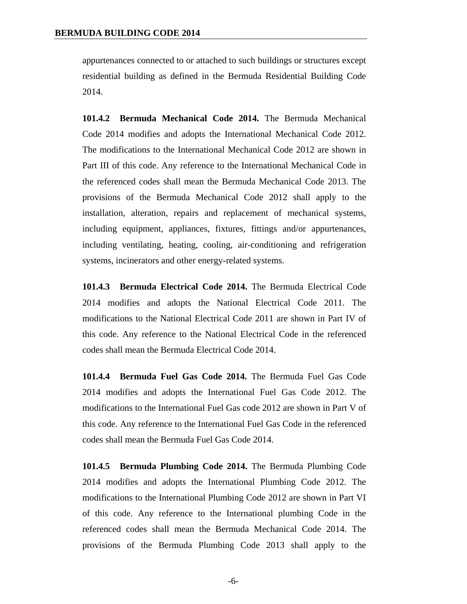appurtenances connected to or attached to such buildings or structures except residential building as defined in the Bermuda Residential Building Code 2014.

**101.4.2 Bermuda Mechanical Code 2014.** The Bermuda Mechanical Code 2014 modifies and adopts the International Mechanical Code 2012. The modifications to the International Mechanical Code 2012 are shown in Part III of this code. Any reference to the International Mechanical Code in the referenced codes shall mean the Bermuda Mechanical Code 2013. The provisions of the Bermuda Mechanical Code 2012 shall apply to the installation, alteration, repairs and replacement of mechanical systems, including equipment, appliances, fixtures, fittings and/or appurtenances, including ventilating, heating, cooling, air-conditioning and refrigeration systems, incinerators and other energy-related systems.

**101.4.3 Bermuda Electrical Code 2014.** The Bermuda Electrical Code 2014 modifies and adopts the National Electrical Code 2011. The modifications to the National Electrical Code 2011 are shown in Part IV of this code. Any reference to the National Electrical Code in the referenced codes shall mean the Bermuda Electrical Code 2014.

**101.4.4 Bermuda Fuel Gas Code 2014.** The Bermuda Fuel Gas Code 2014 modifies and adopts the International Fuel Gas Code 2012. The modifications to the International Fuel Gas code 2012 are shown in Part V of this code. Any reference to the International Fuel Gas Code in the referenced codes shall mean the Bermuda Fuel Gas Code 2014.

**101.4.5 Bermuda Plumbing Code 2014.** The Bermuda Plumbing Code 2014 modifies and adopts the International Plumbing Code 2012. The modifications to the International Plumbing Code 2012 are shown in Part VI of this code. Any reference to the International plumbing Code in the referenced codes shall mean the Bermuda Mechanical Code 2014. The provisions of the Bermuda Plumbing Code 2013 shall apply to the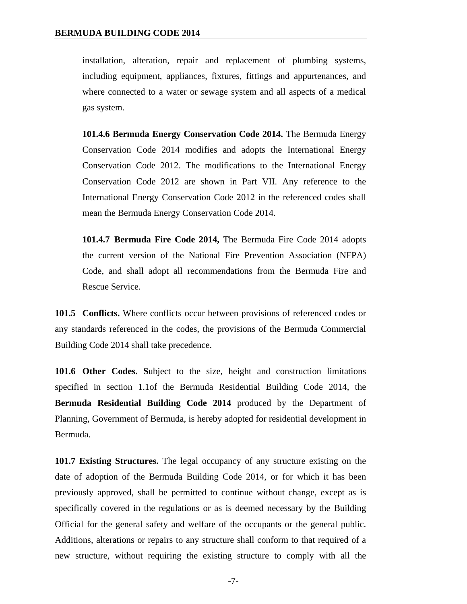installation, alteration, repair and replacement of plumbing systems, including equipment, appliances, fixtures, fittings and appurtenances, and where connected to a water or sewage system and all aspects of a medical gas system.

**101.4.6 Bermuda Energy Conservation Code 2014.** The Bermuda Energy Conservation Code 2014 modifies and adopts the International Energy Conservation Code 2012. The modifications to the International Energy Conservation Code 2012 are shown in Part VII. Any reference to the International Energy Conservation Code 2012 in the referenced codes shall mean the Bermuda Energy Conservation Code 2014.

**101.4.7 Bermuda Fire Code 2014,** The Bermuda Fire Code 2014 adopts the current version of the National Fire Prevention Association (NFPA) Code, and shall adopt all recommendations from the Bermuda Fire and Rescue Service.

**101.5 Conflicts.** Where conflicts occur between provisions of referenced codes or any standards referenced in the codes, the provisions of the Bermuda Commercial Building Code 2014 shall take precedence.

**101.6 Other Codes. S**ubject to the size, height and construction limitations specified in section 1.1of the Bermuda Residential Building Code 2014, the **Bermuda Residential Building Code 2014** produced by the Department of Planning, Government of Bermuda, is hereby adopted for residential development in Bermuda.

**101.7 Existing Structures.** The legal occupancy of any structure existing on the date of adoption of the Bermuda Building Code 2014, or for which it has been previously approved, shall be permitted to continue without change, except as is specifically covered in the regulations or as is deemed necessary by the Building Official for the general safety and welfare of the occupants or the general public. Additions, alterations or repairs to any structure shall conform to that required of a new structure, without requiring the existing structure to comply with all the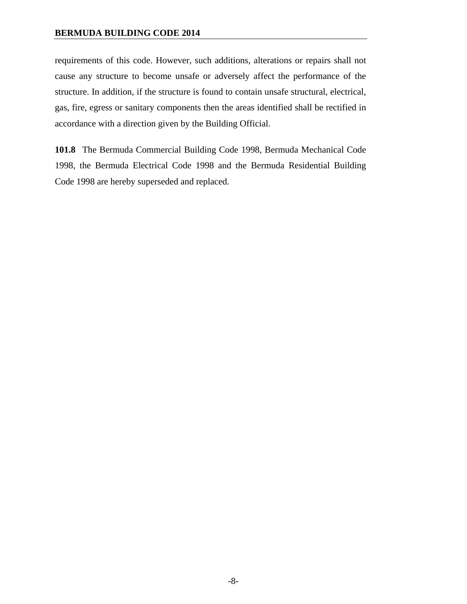requirements of this code. However, such additions, alterations or repairs shall not cause any structure to become unsafe or adversely affect the performance of the structure. In addition, if the structure is found to contain unsafe structural, electrical, gas, fire, egress or sanitary components then the areas identified shall be rectified in accordance with a direction given by the Building Official.

**101.8** The Bermuda Commercial Building Code 1998, Bermuda Mechanical Code 1998, the Bermuda Electrical Code 1998 and the Bermuda Residential Building Code 1998 are hereby superseded and replaced.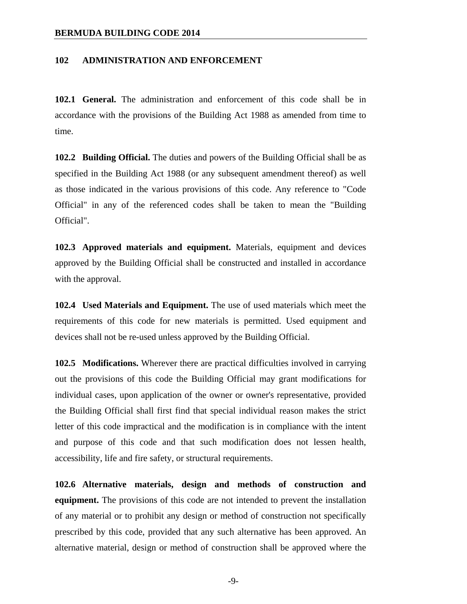#### **102 ADMINISTRATION AND ENFORCEMENT**

**102.1 General.** The administration and enforcement of this code shall be in accordance with the provisions of the Building Act 1988 as amended from time to time.

**102.2 Building Official.** The duties and powers of the Building Official shall be as specified in the Building Act 1988 (or any subsequent amendment thereof) as well as those indicated in the various provisions of this code. Any reference to "Code Official" in any of the referenced codes shall be taken to mean the "Building Official".

**102.3 Approved materials and equipment.** Materials, equipment and devices approved by the Building Official shall be constructed and installed in accordance with the approval.

**102.4 Used Materials and Equipment.** The use of used materials which meet the requirements of this code for new materials is permitted. Used equipment and devices shall not be re-used unless approved by the Building Official.

**102.5 Modifications.** Wherever there are practical difficulties involved in carrying out the provisions of this code the Building Official may grant modifications for individual cases, upon application of the owner or owner's representative, provided the Building Official shall first find that special individual reason makes the strict letter of this code impractical and the modification is in compliance with the intent and purpose of this code and that such modification does not lessen health, accessibility, life and fire safety, or structural requirements.

**102.6 Alternative materials, design and methods of construction and equipment.** The provisions of this code are not intended to prevent the installation of any material or to prohibit any design or method of construction not specifically prescribed by this code, provided that any such alternative has been approved. An alternative material, design or method of construction shall be approved where the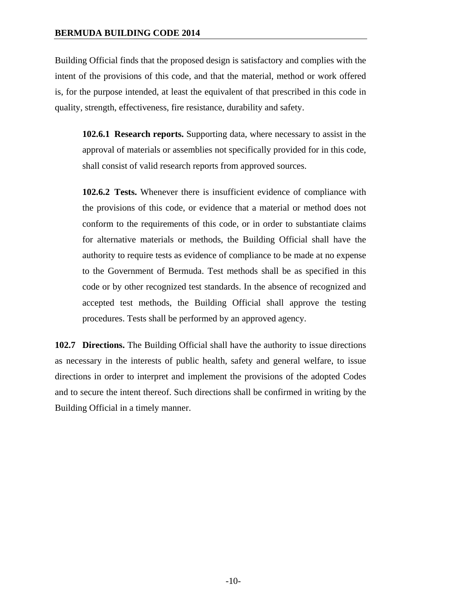Building Official finds that the proposed design is satisfactory and complies with the intent of the provisions of this code, and that the material, method or work offered is, for the purpose intended, at least the equivalent of that prescribed in this code in quality, strength, effectiveness, fire resistance, durability and safety.

**102.6.1 Research reports.** Supporting data, where necessary to assist in the approval of materials or assemblies not specifically provided for in this code, shall consist of valid research reports from approved sources.

**102.6.2 Tests.** Whenever there is insufficient evidence of compliance with the provisions of this code, or evidence that a material or method does not conform to the requirements of this code, or in order to substantiate claims for alternative materials or methods, the Building Official shall have the authority to require tests as evidence of compliance to be made at no expense to the Government of Bermuda. Test methods shall be as specified in this code or by other recognized test standards. In the absence of recognized and accepted test methods, the Building Official shall approve the testing procedures. Tests shall be performed by an approved agency.

**102.7 Directions.** The Building Official shall have the authority to issue directions as necessary in the interests of public health, safety and general welfare, to issue directions in order to interpret and implement the provisions of the adopted Codes and to secure the intent thereof. Such directions shall be confirmed in writing by the Building Official in a timely manner.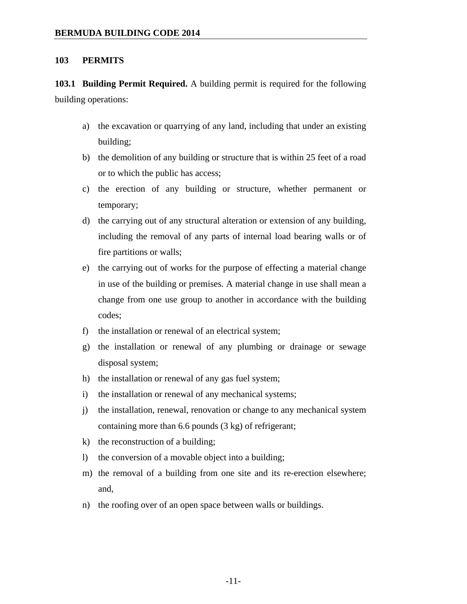#### **103 PERMITS**

**103.1 Building Permit Required.** A building permit is required for the following building operations:

- a) the excavation or quarrying of any land, including that under an existing building;
- b) the demolition of any building or structure that is within 25 feet of a road or to which the public has access;
- c) the erection of any building or structure, whether permanent or temporary;
- d) the carrying out of any structural alteration or extension of any building, including the removal of any parts of internal load bearing walls or of fire partitions or walls;
- e) the carrying out of works for the purpose of effecting a material change in use of the building or premises. A material change in use shall mean a change from one use group to another in accordance with the building codes;
- f) the installation or renewal of an electrical system;
- g) the installation or renewal of any plumbing or drainage or sewage disposal system;
- h) the installation or renewal of any gas fuel system;
- i) the installation or renewal of any mechanical systems;
- j) the installation, renewal, renovation or change to any mechanical system containing more than 6.6 pounds (3 kg) of refrigerant;
- k) the reconstruction of a building;
- l) the conversion of a movable object into a building;
- m) the removal of a building from one site and its re-erection elsewhere; and,
- n) the roofing over of an open space between walls or buildings.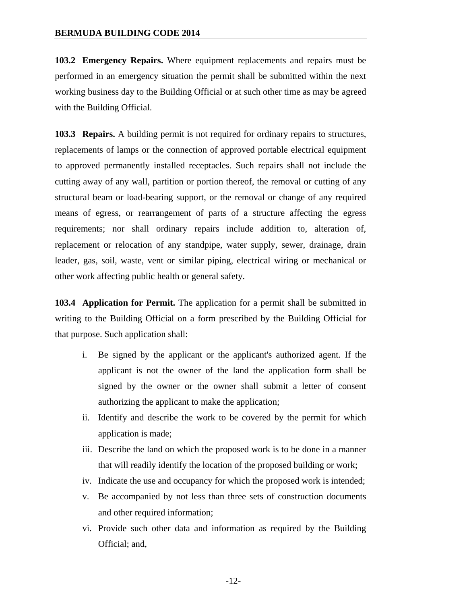**103.2 Emergency Repairs.** Where equipment replacements and repairs must be performed in an emergency situation the permit shall be submitted within the next working business day to the Building Official or at such other time as may be agreed with the Building Official.

**103.3 Repairs.** A building permit is not required for ordinary repairs to structures, replacements of lamps or the connection of approved portable electrical equipment to approved permanently installed receptacles. Such repairs shall not include the cutting away of any wall, partition or portion thereof, the removal or cutting of any structural beam or load-bearing support, or the removal or change of any required means of egress, or rearrangement of parts of a structure affecting the egress requirements; nor shall ordinary repairs include addition to, alteration of, replacement or relocation of any standpipe, water supply, sewer, drainage, drain leader, gas, soil, waste, vent or similar piping, electrical wiring or mechanical or other work affecting public health or general safety.

**103.4 Application for Permit.** The application for a permit shall be submitted in writing to the Building Official on a form prescribed by the Building Official for that purpose. Such application shall:

- i. Be signed by the applicant or the applicant's authorized agent. If the applicant is not the owner of the land the application form shall be signed by the owner or the owner shall submit a letter of consent authorizing the applicant to make the application;
- ii. Identify and describe the work to be covered by the permit for which application is made;
- iii. Describe the land on which the proposed work is to be done in a manner that will readily identify the location of the proposed building or work;
- iv. Indicate the use and occupancy for which the proposed work is intended;
- v. Be accompanied by not less than three sets of construction documents and other required information;
- vi. Provide such other data and information as required by the Building Official; and,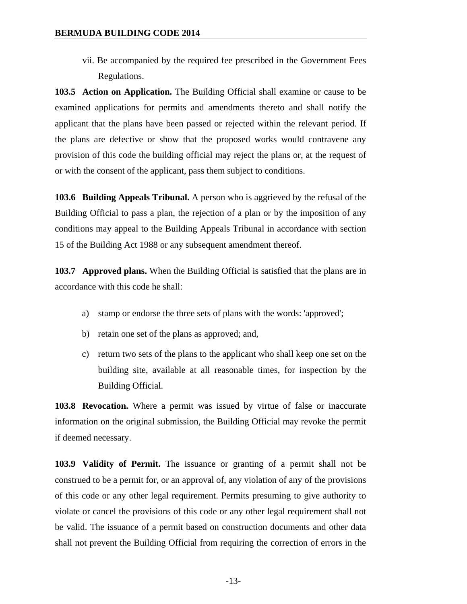vii. Be accompanied by the required fee prescribed in the Government Fees Regulations.

**103.5 Action on Application.** The Building Official shall examine or cause to be examined applications for permits and amendments thereto and shall notify the applicant that the plans have been passed or rejected within the relevant period. If the plans are defective or show that the proposed works would contravene any provision of this code the building official may reject the plans or, at the request of or with the consent of the applicant, pass them subject to conditions.

**103.6 Building Appeals Tribunal.** A person who is aggrieved by the refusal of the Building Official to pass a plan, the rejection of a plan or by the imposition of any conditions may appeal to the Building Appeals Tribunal in accordance with section 15 of the Building Act 1988 or any subsequent amendment thereof.

**103.7 Approved plans.** When the Building Official is satisfied that the plans are in accordance with this code he shall:

- a) stamp or endorse the three sets of plans with the words: 'approved';
- b) retain one set of the plans as approved; and,
- c) return two sets of the plans to the applicant who shall keep one set on the building site, available at all reasonable times, for inspection by the Building Official.

**103.8 Revocation.** Where a permit was issued by virtue of false or inaccurate information on the original submission, the Building Official may revoke the permit if deemed necessary.

**103.9 Validity of Permit.** The issuance or granting of a permit shall not be construed to be a permit for, or an approval of, any violation of any of the provisions of this code or any other legal requirement. Permits presuming to give authority to violate or cancel the provisions of this code or any other legal requirement shall not be valid. The issuance of a permit based on construction documents and other data shall not prevent the Building Official from requiring the correction of errors in the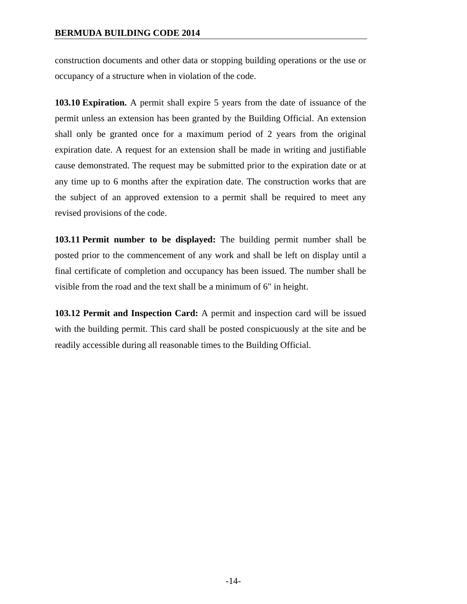construction documents and other data or stopping building operations or the use or occupancy of a structure when in violation of the code.

**103.10 Expiration.** A permit shall expire 5 years from the date of issuance of the permit unless an extension has been granted by the Building Official. An extension shall only be granted once for a maximum period of 2 years from the original expiration date. A request for an extension shall be made in writing and justifiable cause demonstrated. The request may be submitted prior to the expiration date or at any time up to 6 months after the expiration date. The construction works that are the subject of an approved extension to a permit shall be required to meet any revised provisions of the code.

**103.11 Permit number to be displayed:** The building permit number shall be posted prior to the commencement of any work and shall be left on display until a final certificate of completion and occupancy has been issued. The number shall be visible from the road and the text shall be a minimum of 6" in height.

**103.12 Permit and Inspection Card:** A permit and inspection card will be issued with the building permit. This card shall be posted conspicuously at the site and be readily accessible during all reasonable times to the Building Official.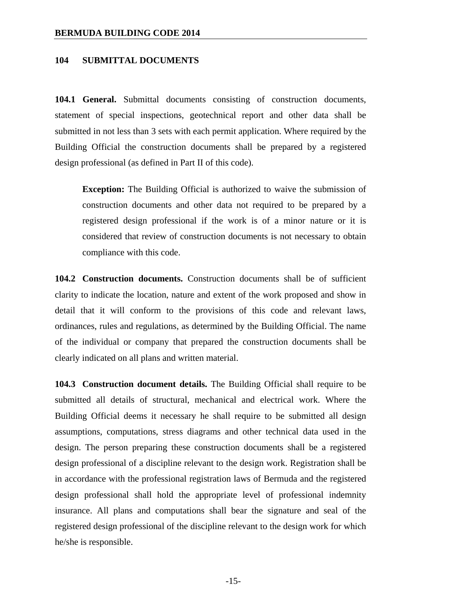#### **104 SUBMITTAL DOCUMENTS**

**104.1 General.** Submittal documents consisting of construction documents, statement of special inspections, geotechnical report and other data shall be submitted in not less than 3 sets with each permit application. Where required by the Building Official the construction documents shall be prepared by a registered design professional (as defined in Part II of this code).

**Exception:** The Building Official is authorized to waive the submission of construction documents and other data not required to be prepared by a registered design professional if the work is of a minor nature or it is considered that review of construction documents is not necessary to obtain compliance with this code.

**104.2 Construction documents.** Construction documents shall be of sufficient clarity to indicate the location, nature and extent of the work proposed and show in detail that it will conform to the provisions of this code and relevant laws, ordinances, rules and regulations, as determined by the Building Official. The name of the individual or company that prepared the construction documents shall be clearly indicated on all plans and written material.

**104.3 Construction document details.** The Building Official shall require to be submitted all details of structural, mechanical and electrical work. Where the Building Official deems it necessary he shall require to be submitted all design assumptions, computations, stress diagrams and other technical data used in the design. The person preparing these construction documents shall be a registered design professional of a discipline relevant to the design work. Registration shall be in accordance with the professional registration laws of Bermuda and the registered design professional shall hold the appropriate level of professional indemnity insurance. All plans and computations shall bear the signature and seal of the registered design professional of the discipline relevant to the design work for which he/she is responsible.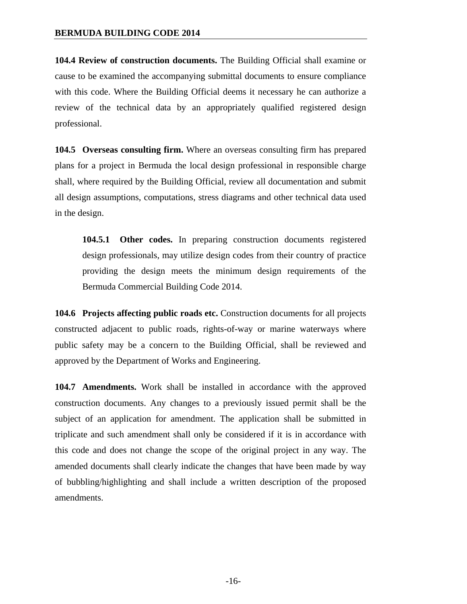**104.4 Review of construction documents.** The Building Official shall examine or cause to be examined the accompanying submittal documents to ensure compliance with this code. Where the Building Official deems it necessary he can authorize a review of the technical data by an appropriately qualified registered design professional.

**104.5 Overseas consulting firm.** Where an overseas consulting firm has prepared plans for a project in Bermuda the local design professional in responsible charge shall, where required by the Building Official, review all documentation and submit all design assumptions, computations, stress diagrams and other technical data used in the design.

**104.5.1 Other codes.** In preparing construction documents registered design professionals, may utilize design codes from their country of practice providing the design meets the minimum design requirements of the Bermuda Commercial Building Code 2014.

**104.6 Projects affecting public roads etc.** Construction documents for all projects constructed adjacent to public roads, rights-of-way or marine waterways where public safety may be a concern to the Building Official, shall be reviewed and approved by the Department of Works and Engineering.

**104.7 Amendments.** Work shall be installed in accordance with the approved construction documents. Any changes to a previously issued permit shall be the subject of an application for amendment. The application shall be submitted in triplicate and such amendment shall only be considered if it is in accordance with this code and does not change the scope of the original project in any way. The amended documents shall clearly indicate the changes that have been made by way of bubbling/highlighting and shall include a written description of the proposed amendments.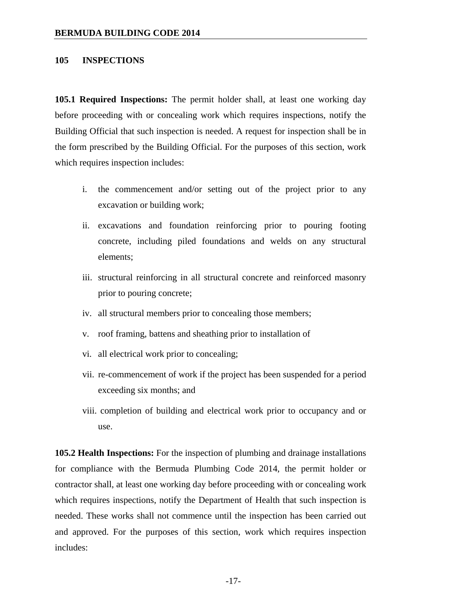#### **105 INSPECTIONS**

**105.1 Required Inspections:** The permit holder shall, at least one working day before proceeding with or concealing work which requires inspections, notify the Building Official that such inspection is needed. A request for inspection shall be in the form prescribed by the Building Official. For the purposes of this section, work which requires inspection includes:

- i. the commencement and/or setting out of the project prior to any excavation or building work;
- ii. excavations and foundation reinforcing prior to pouring footing concrete, including piled foundations and welds on any structural elements;
- iii. structural reinforcing in all structural concrete and reinforced masonry prior to pouring concrete;
- iv. all structural members prior to concealing those members;
- v. roof framing, battens and sheathing prior to installation of
- vi. all electrical work prior to concealing;
- vii. re-commencement of work if the project has been suspended for a period exceeding six months; and
- viii. completion of building and electrical work prior to occupancy and or use.

**105.2 Health Inspections:** For the inspection of plumbing and drainage installations for compliance with the Bermuda Plumbing Code 2014, the permit holder or contractor shall, at least one working day before proceeding with or concealing work which requires inspections, notify the Department of Health that such inspection is needed. These works shall not commence until the inspection has been carried out and approved. For the purposes of this section, work which requires inspection includes: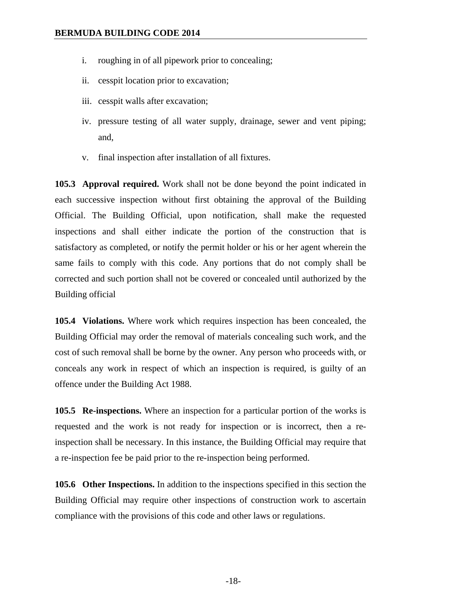- i. roughing in of all pipework prior to concealing;
- ii. cesspit location prior to excavation;
- iii. cesspit walls after excavation;
- iv. pressure testing of all water supply, drainage, sewer and vent piping; and,
- v. final inspection after installation of all fixtures.

**105.3 Approval required.** Work shall not be done beyond the point indicated in each successive inspection without first obtaining the approval of the Building Official. The Building Official, upon notification, shall make the requested inspections and shall either indicate the portion of the construction that is satisfactory as completed, or notify the permit holder or his or her agent wherein the same fails to comply with this code. Any portions that do not comply shall be corrected and such portion shall not be covered or concealed until authorized by the Building official

**105.4 Violations.** Where work which requires inspection has been concealed, the Building Official may order the removal of materials concealing such work, and the cost of such removal shall be borne by the owner. Any person who proceeds with, or conceals any work in respect of which an inspection is required, is guilty of an offence under the Building Act 1988.

**105.5 Re-inspections.** Where an inspection for a particular portion of the works is requested and the work is not ready for inspection or is incorrect, then a reinspection shall be necessary. In this instance, the Building Official may require that a re-inspection fee be paid prior to the re-inspection being performed.

**105.6 Other Inspections.** In addition to the inspections specified in this section the Building Official may require other inspections of construction work to ascertain compliance with the provisions of this code and other laws or regulations.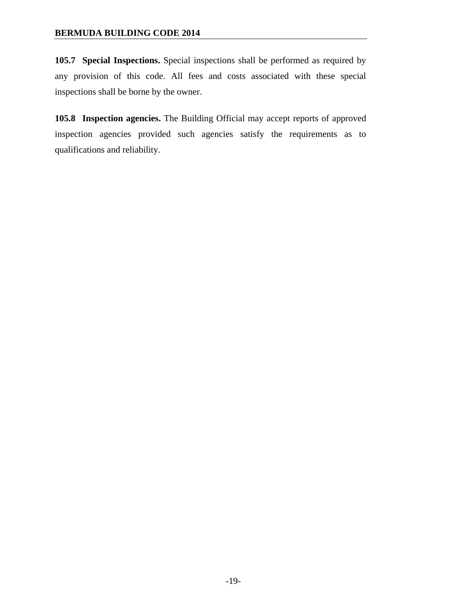**105.7 Special Inspections.** Special inspections shall be performed as required by any provision of this code. All fees and costs associated with these special inspections shall be borne by the owner.

**105.8 Inspection agencies.** The Building Official may accept reports of approved inspection agencies provided such agencies satisfy the requirements as to qualifications and reliability.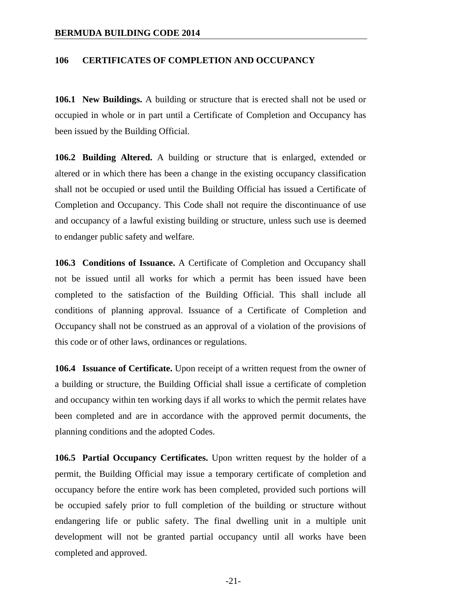#### **106 CERTIFICATES OF COMPLETION AND OCCUPANCY**

**106.1 New Buildings.** A building or structure that is erected shall not be used or occupied in whole or in part until a Certificate of Completion and Occupancy has been issued by the Building Official.

**106.2 Building Altered.** A building or structure that is enlarged, extended or altered or in which there has been a change in the existing occupancy classification shall not be occupied or used until the Building Official has issued a Certificate of Completion and Occupancy. This Code shall not require the discontinuance of use and occupancy of a lawful existing building or structure, unless such use is deemed to endanger public safety and welfare.

**106.3 Conditions of Issuance.** A Certificate of Completion and Occupancy shall not be issued until all works for which a permit has been issued have been completed to the satisfaction of the Building Official. This shall include all conditions of planning approval. Issuance of a Certificate of Completion and Occupancy shall not be construed as an approval of a violation of the provisions of this code or of other laws, ordinances or regulations.

**106.4 Issuance of Certificate.** Upon receipt of a written request from the owner of a building or structure, the Building Official shall issue a certificate of completion and occupancy within ten working days if all works to which the permit relates have been completed and are in accordance with the approved permit documents, the planning conditions and the adopted Codes.

**106.5 Partial Occupancy Certificates.** Upon written request by the holder of a permit, the Building Official may issue a temporary certificate of completion and occupancy before the entire work has been completed, provided such portions will be occupied safely prior to full completion of the building or structure without endangering life or public safety. The final dwelling unit in a multiple unit development will not be granted partial occupancy until all works have been completed and approved.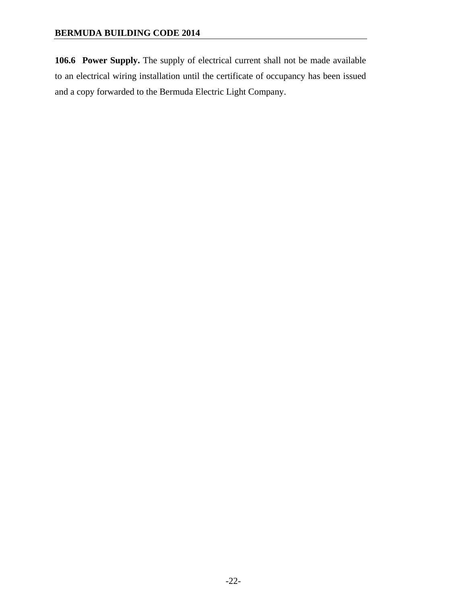**106.6 Power Supply.** The supply of electrical current shall not be made available to an electrical wiring installation until the certificate of occupancy has been issued and a copy forwarded to the Bermuda Electric Light Company.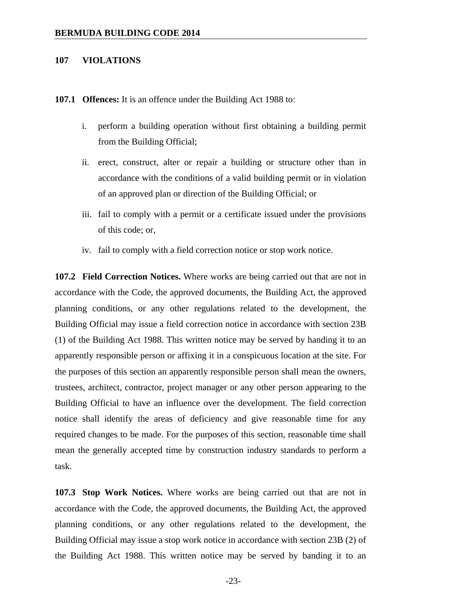#### **107 VIOLATIONS**

**107.1 Offences:** It is an offence under the Building Act 1988 to:

- i. perform a building operation without first obtaining a building permit from the Building Official;
- ii. erect, construct, alter or repair a building or structure other than in accordance with the conditions of a valid building permit or in violation of an approved plan or direction of the Building Official; or
- iii. fail to comply with a permit or a certificate issued under the provisions of this code; or,
- iv. fail to comply with a field correction notice or stop work notice.

**107.2 Field Correction Notices.** Where works are being carried out that are not in accordance with the Code, the approved documents, the Building Act, the approved planning conditions, or any other regulations related to the development, the Building Official may issue a field correction notice in accordance with section 23B (1) of the Building Act 1988. This written notice may be served by handing it to an apparently responsible person or affixing it in a conspicuous location at the site. For the purposes of this section an apparently responsible person shall mean the owners, trustees, architect, contractor, project manager or any other person appearing to the Building Official to have an influence over the development. The field correction notice shall identify the areas of deficiency and give reasonable time for any required changes to be made. For the purposes of this section, reasonable time shall mean the generally accepted time by construction industry standards to perform a task.

**107.3 Stop Work Notices.** Where works are being carried out that are not in accordance with the Code, the approved documents, the Building Act, the approved planning conditions, or any other regulations related to the development, the Building Official may issue a stop work notice in accordance with section 23B (2) of the Building Act 1988. This written notice may be served by banding it to an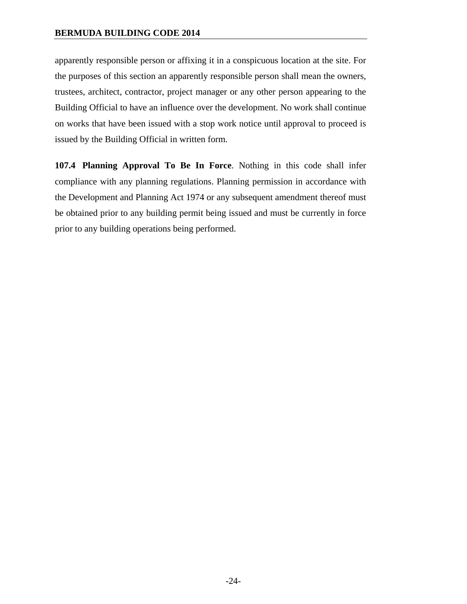apparently responsible person or affixing it in a conspicuous location at the site. For the purposes of this section an apparently responsible person shall mean the owners, trustees, architect, contractor, project manager or any other person appearing to the Building Official to have an influence over the development. No work shall continue on works that have been issued with a stop work notice until approval to proceed is issued by the Building Official in written form.

**107.4 Planning Approval To Be In Force**. Nothing in this code shall infer compliance with any planning regulations. Planning permission in accordance with the Development and Planning Act 1974 or any subsequent amendment thereof must be obtained prior to any building permit being issued and must be currently in force prior to any building operations being performed.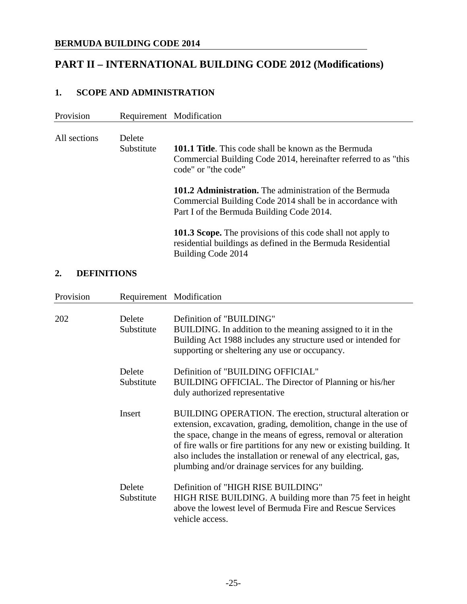# **PART II – INTERNATIONAL BUILDING CODE 2012 (Modifications)**

# **1. SCOPE AND ADMINISTRATION**

| Provision    |                      | Requirement Modification                                                                                                                                                 |
|--------------|----------------------|--------------------------------------------------------------------------------------------------------------------------------------------------------------------------|
| All sections | Delete<br>Substitute | <b>101.1 Title.</b> This code shall be known as the Bermuda<br>Commercial Building Code 2014, hereinafter referred to as "this"<br>code" or "the code"                   |
|              |                      | <b>101.2 Administration.</b> The administration of the Bermuda<br>Commercial Building Code 2014 shall be in accordance with<br>Part I of the Bermuda Building Code 2014. |
|              |                      | <b>101.3 Scope.</b> The provisions of this code shall not apply to<br>residential buildings as defined in the Bermuda Residential<br>Building Code 2014                  |

#### **2. DEFINITIONS**

| Provision |                      | Requirement Modification                                                                                                                                                                                                                                                                                                                                                                               |
|-----------|----------------------|--------------------------------------------------------------------------------------------------------------------------------------------------------------------------------------------------------------------------------------------------------------------------------------------------------------------------------------------------------------------------------------------------------|
| 202       | Delete<br>Substitute | Definition of "BUILDING"<br>BUILDING. In addition to the meaning assigned to it in the<br>Building Act 1988 includes any structure used or intended for<br>supporting or sheltering any use or occupancy.                                                                                                                                                                                              |
|           | Delete<br>Substitute | Definition of "BUILDING OFFICIAL"<br>BUILDING OFFICIAL. The Director of Planning or his/her<br>duly authorized representative                                                                                                                                                                                                                                                                          |
|           | Insert               | BUILDING OPERATION. The erection, structural alteration or<br>extension, excavation, grading, demolition, change in the use of<br>the space, change in the means of egress, removal or alteration<br>of fire walls or fire partitions for any new or existing building. It<br>also includes the installation or renewal of any electrical, gas,<br>plumbing and/or drainage services for any building. |
|           | Delete<br>Substitute | Definition of "HIGH RISE BUILDING"<br>HIGH RISE BUILDING. A building more than 75 feet in height<br>above the lowest level of Bermuda Fire and Rescue Services<br>vehicle access.                                                                                                                                                                                                                      |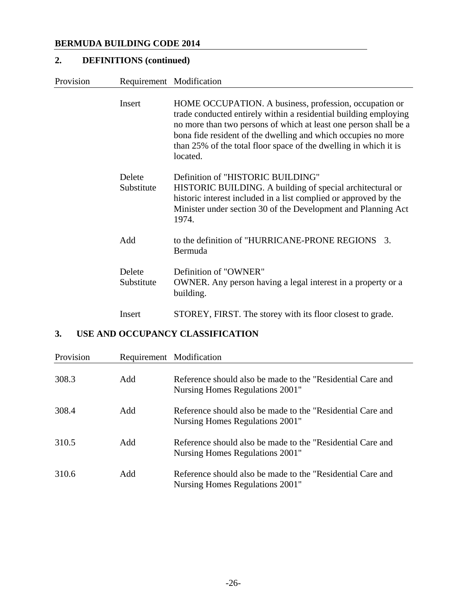# **2. DEFINITIONS (continued)**

| Provision | Requirement Modification |                                                                                                                                                                                                                                                                                                                                                 |
|-----------|--------------------------|-------------------------------------------------------------------------------------------------------------------------------------------------------------------------------------------------------------------------------------------------------------------------------------------------------------------------------------------------|
|           | Insert                   | HOME OCCUPATION. A business, profession, occupation or<br>trade conducted entirely within a residential building employing<br>no more than two persons of which at least one person shall be a<br>bona fide resident of the dwelling and which occupies no more<br>than 25% of the total floor space of the dwelling in which it is<br>located. |
|           | Delete<br>Substitute     | Definition of "HISTORIC BUILDING"<br>HISTORIC BUILDING. A building of special architectural or<br>historic interest included in a list complied or approved by the<br>Minister under section 30 of the Development and Planning Act<br>1974.                                                                                                    |
|           | Add                      | to the definition of "HURRICANE-PRONE REGIONS"<br>3.<br>Bermuda                                                                                                                                                                                                                                                                                 |
|           | Delete<br>Substitute     | Definition of "OWNER"<br>OWNER. Any person having a legal interest in a property or a<br>building.                                                                                                                                                                                                                                              |
|           | Insert                   | STOREY, FIRST. The storey with its floor closest to grade.                                                                                                                                                                                                                                                                                      |

# **3. USE AND OCCUPANCY CLASSIFICATION**

| Provision |     | Requirement Modification                                                                      |
|-----------|-----|-----------------------------------------------------------------------------------------------|
| 308.3     | Add | Reference should also be made to the "Residential Care and<br>Nursing Homes Regulations 2001" |
| 308.4     | Add | Reference should also be made to the "Residential Care and<br>Nursing Homes Regulations 2001" |
| 310.5     | Add | Reference should also be made to the "Residential Care and<br>Nursing Homes Regulations 2001" |
| 310.6     | Add | Reference should also be made to the "Residential Care and<br>Nursing Homes Regulations 2001" |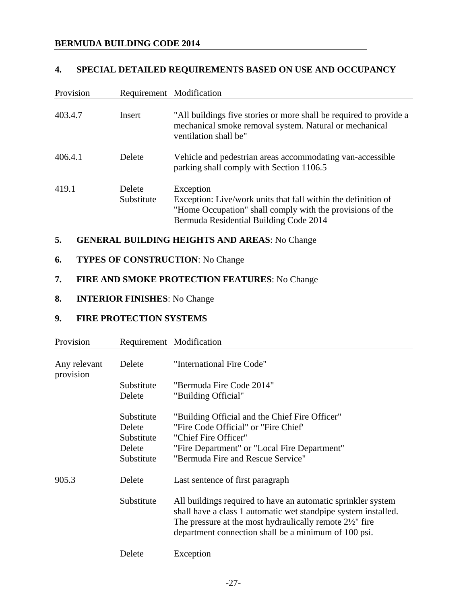#### **4. SPECIAL DETAILED REQUIREMENTS BASED ON USE AND OCCUPANCY**

| Provision | Requirement Modification |                                                                                                                                                                                   |
|-----------|--------------------------|-----------------------------------------------------------------------------------------------------------------------------------------------------------------------------------|
| 403.4.7   | <b>Insert</b>            | "All buildings five stories or more shall be required to provide a<br>mechanical smoke removal system. Natural or mechanical<br>ventilation shall be"                             |
| 406.4.1   | Delete                   | Vehicle and pedestrian areas accommodating van-accessible<br>parking shall comply with Section 1106.5                                                                             |
| 419.1     | Delete<br>Substitute     | Exception<br>Exception: Live/work units that fall within the definition of<br>"Home Occupation" shall comply with the provisions of the<br>Bermuda Residential Building Code 2014 |

# **5. GENERAL BUILDING HEIGHTS AND AREAS**: No Change

### **6. TYPES OF CONSTRUCTION**: No Change

# **7. FIRE AND SMOKE PROTECTION FEATURES**: No Change

### **8. INTERIOR FINISHES**: No Change

#### **9. FIRE PROTECTION SYSTEMS**

| Provision                 | Requirement Modification                                   |                                                                                                                                                                                                                                                               |
|---------------------------|------------------------------------------------------------|---------------------------------------------------------------------------------------------------------------------------------------------------------------------------------------------------------------------------------------------------------------|
| Any relevant<br>provision | Delete                                                     | "International Fire Code"                                                                                                                                                                                                                                     |
|                           | Substitute                                                 | "Bermuda Fire Code 2014"                                                                                                                                                                                                                                      |
|                           | Delete                                                     | "Building Official"                                                                                                                                                                                                                                           |
|                           | Substitute<br>Delete<br>Substitute<br>Delete<br>Substitute | "Building Official and the Chief Fire Officer"<br>"Fire Code Official" or "Fire Chief"<br>"Chief Fire Officer"<br>"Fire Department" or "Local Fire Department"<br>"Bermuda Fire and Rescue Service"                                                           |
| 905.3                     | Delete                                                     | Last sentence of first paragraph                                                                                                                                                                                                                              |
|                           | Substitute                                                 | All buildings required to have an automatic sprinkler system<br>shall have a class 1 automatic wet standpipe system installed.<br>The pressure at the most hydraulically remote $2\frac{1}{2}$ " fire<br>department connection shall be a minimum of 100 psi. |
|                           | Delete                                                     | Exception                                                                                                                                                                                                                                                     |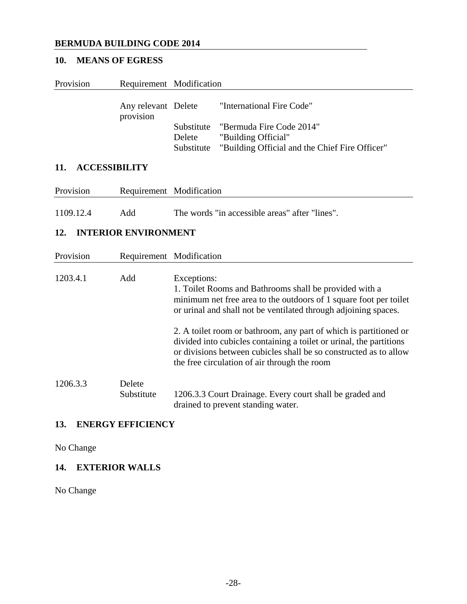# **10. MEANS OF EGRESS**

| Provision                   |                                  | Requirement Modification                                                                                                                                                                                                                                                           |
|-----------------------------|----------------------------------|------------------------------------------------------------------------------------------------------------------------------------------------------------------------------------------------------------------------------------------------------------------------------------|
|                             | Any relevant Delete<br>provision | "International Fire Code"                                                                                                                                                                                                                                                          |
|                             |                                  | "Bermuda Fire Code 2014"<br>Substitute<br>"Building Official"<br>Delete<br>Substitute<br>"Building Official and the Chief Fire Officer"                                                                                                                                            |
| 11.<br><b>ACCESSIBILITY</b> |                                  |                                                                                                                                                                                                                                                                                    |
| Provision                   |                                  | Requirement Modification                                                                                                                                                                                                                                                           |
| 1109.12.4                   | Add                              | The words "in accessible areas" after "lines".                                                                                                                                                                                                                                     |
| 12.                         | <b>INTERIOR ENVIRONMENT</b>      |                                                                                                                                                                                                                                                                                    |
| Provision                   |                                  | Requirement Modification                                                                                                                                                                                                                                                           |
| 1203.4.1                    | Add                              | Exceptions:<br>1. Toilet Rooms and Bathrooms shall be provided with a<br>minimum net free area to the outdoors of 1 square foot per toilet<br>or urinal and shall not be ventilated through adjoining spaces.<br>2. A toilet room or bathroom, any part of which is partitioned or |
|                             |                                  | divided into cubicles containing a toilet or urinal, the partitions<br>or divisions between cubicles shall be so constructed as to allow<br>the free circulation of air through the room                                                                                           |
| 1206.3.3                    | Delete<br>Substitute             | 1206.3.3 Court Drainage. Every court shall be graded and<br>drained to prevent standing water.                                                                                                                                                                                     |

### **13. ENERGY EFFICIENCY**

No Change

# **14. EXTERIOR WALLS**

No Change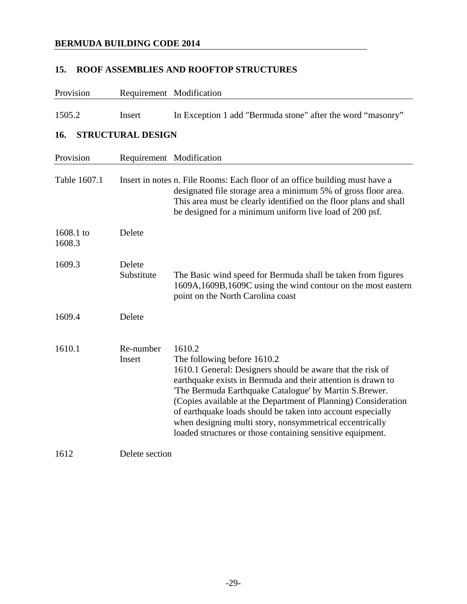### **15. ROOF ASSEMBLIES AND ROOFTOP STRUCTURES**

| Provision           |                          | Requirement Modification                                                                                                                                                                                                                                                                                                                                                                                                                                                                 |
|---------------------|--------------------------|------------------------------------------------------------------------------------------------------------------------------------------------------------------------------------------------------------------------------------------------------------------------------------------------------------------------------------------------------------------------------------------------------------------------------------------------------------------------------------------|
| 1505.2              | Insert                   | In Exception 1 add "Bermuda stone" after the word "masonry"                                                                                                                                                                                                                                                                                                                                                                                                                              |
| 16.                 | <b>STRUCTURAL DESIGN</b> |                                                                                                                                                                                                                                                                                                                                                                                                                                                                                          |
| Provision           |                          | Requirement Modification                                                                                                                                                                                                                                                                                                                                                                                                                                                                 |
| Table 1607.1        |                          | Insert in notes n. File Rooms: Each floor of an office building must have a<br>designated file storage area a minimum 5% of gross floor area.<br>This area must be clearly identified on the floor plans and shall<br>be designed for a minimum uniform live load of 200 psf.                                                                                                                                                                                                            |
| 1608.1 to<br>1608.3 | Delete                   |                                                                                                                                                                                                                                                                                                                                                                                                                                                                                          |
| 1609.3              | Delete<br>Substitute     | The Basic wind speed for Bermuda shall be taken from figures<br>1609A, 1609B, 1609C using the wind contour on the most eastern<br>point on the North Carolina coast                                                                                                                                                                                                                                                                                                                      |
| 1609.4              | Delete                   |                                                                                                                                                                                                                                                                                                                                                                                                                                                                                          |
| 1610.1              | Re-number<br>Insert      | 1610.2<br>The following before 1610.2<br>1610.1 General: Designers should be aware that the risk of<br>earthquake exists in Bermuda and their attention is drawn to<br>'The Bermuda Earthquake Catalogue' by Martin S.Brewer.<br>(Copies available at the Department of Planning) Consideration<br>of earthquake loads should be taken into account especially<br>when designing multi story, nonsymmetrical eccentrically<br>loaded structures or those containing sensitive equipment. |
| 1612                | Delete section           |                                                                                                                                                                                                                                                                                                                                                                                                                                                                                          |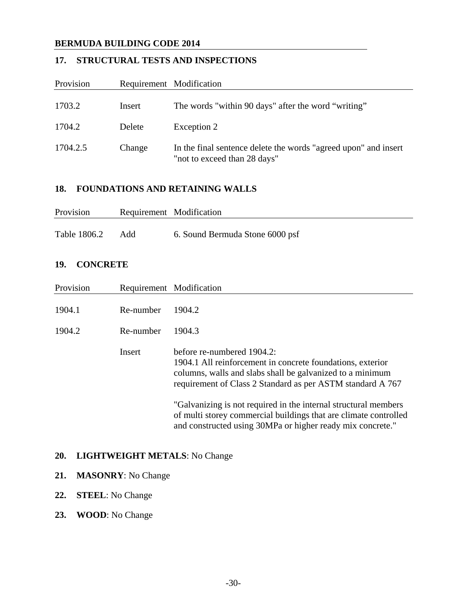# **17. STRUCTURAL TESTS AND INSPECTIONS**

| Provision | Requirement Modification |                                                                                                 |
|-----------|--------------------------|-------------------------------------------------------------------------------------------------|
| 1703.2    | Insert                   | The words "within 90 days" after the word "writing"                                             |
| 1704.2    | Delete                   | Exception 2                                                                                     |
| 1704.2.5  | Change                   | In the final sentence delete the words "agreed upon" and insert<br>"not to exceed than 28 days" |

#### **18. FOUNDATIONS AND RETAINING WALLS**

| Provision    |     | Requirement Modification        |
|--------------|-----|---------------------------------|
| Table 1806.2 | Add | 6. Sound Bermuda Stone 6000 psf |

#### **19. CONCRETE**

| Provision        |                                      | Requirement Modification                                                                                                                                                                                            |
|------------------|--------------------------------------|---------------------------------------------------------------------------------------------------------------------------------------------------------------------------------------------------------------------|
| 1904.1<br>1904.2 | Re-number<br>Re-number               | 1904.2<br>1904.3                                                                                                                                                                                                    |
|                  | Insert                               | before re-numbered 1904.2:<br>1904.1 All reinforcement in concrete foundations, exterior<br>columns, walls and slabs shall be galvanized to a minimum<br>requirement of Class 2 Standard as per ASTM standard A 767 |
|                  |                                      | "Galvanizing is not required in the internal structural members<br>of multi storey commercial buildings that are climate controlled<br>and constructed using 30MPa or higher ready mix concrete."                   |
|                  | I TATTINITITI ATTIN 1 FOIN 1 T A 1 T |                                                                                                                                                                                                                     |

#### **20. LIGHTWEIGHT METALS**: No Change

# **21. MASONRY**: No Change

#### **22. STEEL**: No Change

**23. WOOD**: No Change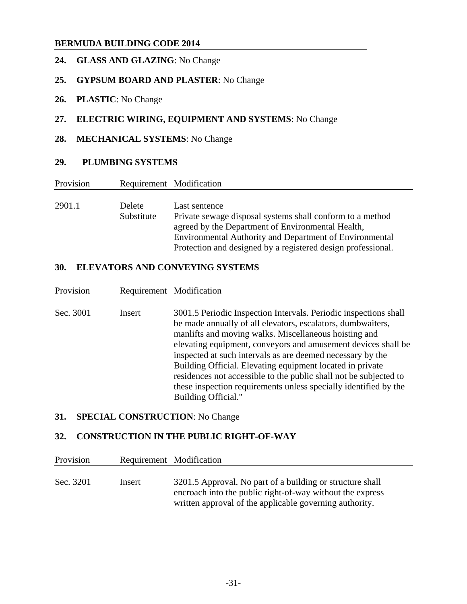## **24. GLASS AND GLAZING**: No Change

### **25. GYPSUM BOARD AND PLASTER**: No Change

**26. PLASTIC**: No Change

#### **27. ELECTRIC WIRING, EQUIPMENT AND SYSTEMS**: No Change

#### **28. MECHANICAL SYSTEMS**: No Change

#### **29. PLUMBING SYSTEMS**

| Provision |               | Requirement Modification                                     |
|-----------|---------------|--------------------------------------------------------------|
|           |               |                                                              |
| 2901.1    | <b>Delete</b> | Last sentence                                                |
|           | Substitute    | Private sewage disposal systems shall conform to a method    |
|           |               | agreed by the Department of Environmental Health,            |
|           |               | Environmental Authority and Department of Environmental      |
|           |               | Protection and designed by a registered design professional. |

#### **30. ELEVATORS AND CONVEYING SYSTEMS**

| Provision<br>Requirement Modification |                                                                                                                                                                                                                                                                                                                                                                                                                                                                                                                                                      |
|---------------------------------------|------------------------------------------------------------------------------------------------------------------------------------------------------------------------------------------------------------------------------------------------------------------------------------------------------------------------------------------------------------------------------------------------------------------------------------------------------------------------------------------------------------------------------------------------------|
| Sec. 3001<br>Insert                   | 3001.5 Periodic Inspection Intervals. Periodic inspections shall<br>be made annually of all elevators, escalators, dumbwaiters,<br>manlifts and moving walks. Miscellaneous hoisting and<br>elevating equipment, conveyors and amusement devices shall be<br>inspected at such intervals as are deemed necessary by the<br>Building Official. Elevating equipment located in private<br>residences not accessible to the public shall not be subjected to<br>these inspection requirements unless specially identified by the<br>Building Official." |

# **31. SPECIAL CONSTRUCTION**: No Change

#### **32. CONSTRUCTION IN THE PUBLIC RIGHT-OF-WAY**

| Provision |        | Requirement Modification                                                                                                                                                          |
|-----------|--------|-----------------------------------------------------------------------------------------------------------------------------------------------------------------------------------|
| Sec. 3201 | Insert | 3201.5 Approval. No part of a building or structure shall<br>encroach into the public right-of-way without the express<br>written approval of the applicable governing authority. |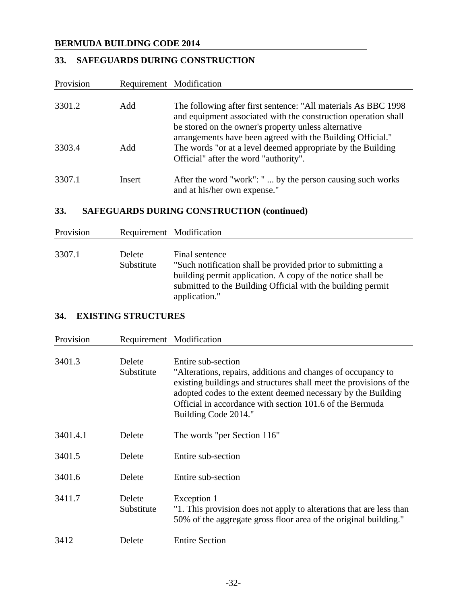# **33. SAFEGUARDS DURING CONSTRUCTION**

| Provision |        | Requirement Modification                                                                                                                                                                                                                                |
|-----------|--------|---------------------------------------------------------------------------------------------------------------------------------------------------------------------------------------------------------------------------------------------------------|
|           |        |                                                                                                                                                                                                                                                         |
| 3301.2    | Add    | The following after first sentence: "All materials As BBC 1998"<br>and equipment associated with the construction operation shall<br>be stored on the owner's property unless alternative<br>arrangements have been agreed with the Building Official." |
| 3303.4    | Add    | The words "or at a level deemed appropriate by the Building<br>Official" after the word "authority".                                                                                                                                                    |
| 3307.1    | Insert | After the word "work": "  by the person causing such works<br>and at his/her own expense."                                                                                                                                                              |

# **33. SAFEGUARDS DURING CONSTRUCTION (continued)**

| Provision |                             | Requirement Modification                                                                                                                                                                                                   |
|-----------|-----------------------------|----------------------------------------------------------------------------------------------------------------------------------------------------------------------------------------------------------------------------|
| 3307.1    | <b>Delete</b><br>Substitute | Final sentence<br>"Such notification shall be provided prior to submitting a<br>building permit application. A copy of the notice shall be<br>submitted to the Building Official with the building permit<br>application." |

# **34. EXISTING STRUCTURES**

| Provision | Requirement Modification |                                                                                                                                                                                                                                                                                                              |
|-----------|--------------------------|--------------------------------------------------------------------------------------------------------------------------------------------------------------------------------------------------------------------------------------------------------------------------------------------------------------|
| 3401.3    | Delete<br>Substitute     | Entire sub-section<br>"Alterations, repairs, additions and changes of occupancy to<br>existing buildings and structures shall meet the provisions of the<br>adopted codes to the extent deemed necessary by the Building<br>Official in accordance with section 101.6 of the Bermuda<br>Building Code 2014." |
| 3401.4.1  | Delete                   | The words "per Section 116"                                                                                                                                                                                                                                                                                  |
| 3401.5    | Delete                   | Entire sub-section                                                                                                                                                                                                                                                                                           |
| 3401.6    | Delete                   | Entire sub-section                                                                                                                                                                                                                                                                                           |
| 3411.7    | Delete<br>Substitute     | Exception 1<br>"1. This provision does not apply to alterations that are less than<br>50% of the aggregate gross floor area of the original building."                                                                                                                                                       |
| 3412      | Delete                   | <b>Entire Section</b>                                                                                                                                                                                                                                                                                        |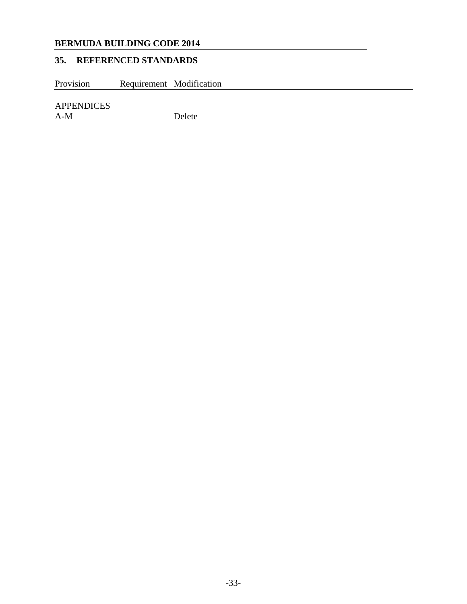# **35. REFERENCED STANDARDS**

Provision Requirement Modification

APPENDICES

Delete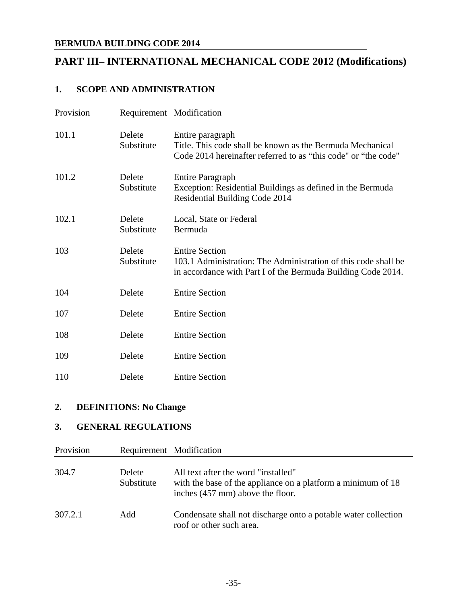# **PART III– INTERNATIONAL MECHANICAL CODE 2012 (Modifications)**

### **1. SCOPE AND ADMINISTRATION**

| Provision |                      | Requirement Modification                                                                                                                                |
|-----------|----------------------|---------------------------------------------------------------------------------------------------------------------------------------------------------|
| 101.1     | Delete<br>Substitute | Entire paragraph<br>Title. This code shall be known as the Bermuda Mechanical<br>Code 2014 hereinafter referred to as "this code" or "the code"         |
| 101.2     | Delete<br>Substitute | <b>Entire Paragraph</b><br>Exception: Residential Buildings as defined in the Bermuda<br>Residential Building Code 2014                                 |
| 102.1     | Delete<br>Substitute | Local, State or Federal<br>Bermuda                                                                                                                      |
| 103       | Delete<br>Substitute | <b>Entire Section</b><br>103.1 Administration: The Administration of this code shall be<br>in accordance with Part I of the Bermuda Building Code 2014. |
| 104       | Delete               | <b>Entire Section</b>                                                                                                                                   |
| 107       | Delete               | <b>Entire Section</b>                                                                                                                                   |
| 108       | Delete               | <b>Entire Section</b>                                                                                                                                   |
| 109       | Delete               | <b>Entire Section</b>                                                                                                                                   |
| 110       | Delete               | <b>Entire Section</b>                                                                                                                                   |

### **2. DEFINITIONS: No Change**

# **3. GENERAL REGULATIONS**

| Provision | Requirement Modification    |                                                                                                                                         |
|-----------|-----------------------------|-----------------------------------------------------------------------------------------------------------------------------------------|
| 304.7     | <b>Delete</b><br>Substitute | All text after the word "installed"<br>with the base of the appliance on a platform a minimum of 18<br>inches (457 mm) above the floor. |
| 307.2.1   | Add                         | Condensate shall not discharge onto a potable water collection<br>roof or other such area.                                              |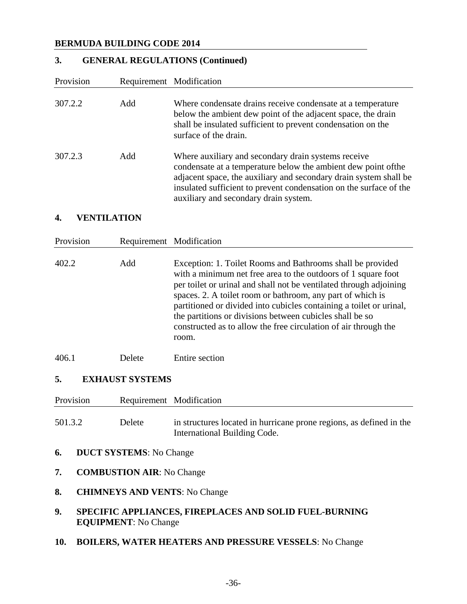# **3. GENERAL REGULATIONS (Continued)**

| Provision                    |                                      | Requirement Modification                                                                                                                                                                                                                                                                                                                                                                                                                                                       |  |
|------------------------------|--------------------------------------|--------------------------------------------------------------------------------------------------------------------------------------------------------------------------------------------------------------------------------------------------------------------------------------------------------------------------------------------------------------------------------------------------------------------------------------------------------------------------------|--|
| 307.2.2                      | Add                                  | Where condensate drains receive condensate at a temperature<br>below the ambient dew point of the adjacent space, the drain<br>shall be insulated sufficient to prevent condensation on the<br>surface of the drain.                                                                                                                                                                                                                                                           |  |
| 307.2.3                      | Add                                  | Where auxiliary and secondary drain systems receive<br>condensate at a temperature below the ambient dew point of the<br>adjacent space, the auxiliary and secondary drain system shall be<br>insulated sufficient to prevent condensation on the surface of the<br>auxiliary and secondary drain system.                                                                                                                                                                      |  |
| 4.                           | <b>VENTILATION</b>                   |                                                                                                                                                                                                                                                                                                                                                                                                                                                                                |  |
| Provision                    |                                      | Requirement Modification                                                                                                                                                                                                                                                                                                                                                                                                                                                       |  |
| 402.2                        | Add                                  | Exception: 1. Toilet Rooms and Bathrooms shall be provided<br>with a minimum net free area to the outdoors of 1 square foot<br>per toilet or urinal and shall not be ventilated through adjoining<br>spaces. 2. A toilet room or bathroom, any part of which is<br>partitioned or divided into cubicles containing a toilet or urinal,<br>the partitions or divisions between cubicles shall be so<br>constructed as to allow the free circulation of air through the<br>room. |  |
| 406.1                        | Delete                               | <b>Entire</b> section                                                                                                                                                                                                                                                                                                                                                                                                                                                          |  |
| <b>EXHAUST SYSTEMS</b><br>5. |                                      |                                                                                                                                                                                                                                                                                                                                                                                                                                                                                |  |
| Provision                    |                                      | Requirement Modification                                                                                                                                                                                                                                                                                                                                                                                                                                                       |  |
| 501.3.2                      | Delete                               | in structures located in hurricane prone regions, as defined in the<br>International Building Code.                                                                                                                                                                                                                                                                                                                                                                            |  |
| 6.                           | <b>DUCT SYSTEMS:</b> No Change       |                                                                                                                                                                                                                                                                                                                                                                                                                                                                                |  |
| 7.                           | <b>COMBUSTION AIR:</b> No Change     |                                                                                                                                                                                                                                                                                                                                                                                                                                                                                |  |
| 8.                           | <b>CHIMNEYS AND VENTS: No Change</b> |                                                                                                                                                                                                                                                                                                                                                                                                                                                                                |  |
| 9.                           | <b>EQUIPMENT:</b> No Change          | SPECIFIC APPLIANCES, FIREPLACES AND SOLID FUEL-BURNING                                                                                                                                                                                                                                                                                                                                                                                                                         |  |
| 10.                          |                                      | <b>BOILERS, WATER HEATERS AND PRESSURE VESSELS: No Change</b>                                                                                                                                                                                                                                                                                                                                                                                                                  |  |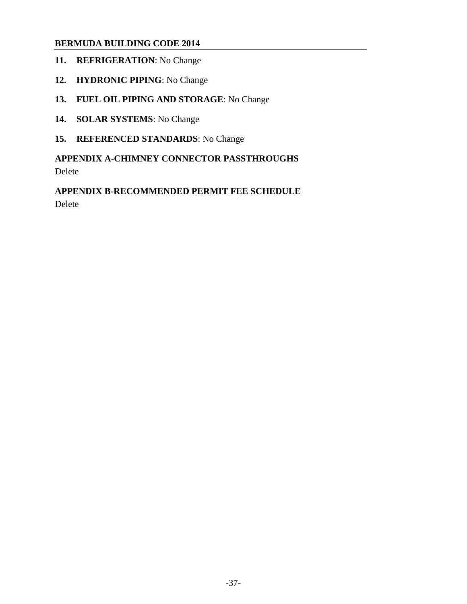- **11. REFRIGERATION**: No Change
- **12. HYDRONIC PIPING**: No Change
- **13. FUEL OIL PIPING AND STORAGE**: No Change
- **14. SOLAR SYSTEMS**: No Change
- **15. REFERENCED STANDARDS**: No Change

## **APPENDIX A-CHIMNEY CONNECTOR PASSTHROUGHS**  Delete

**APPENDIX B-RECOMMENDED PERMIT FEE SCHEDULE**  Delete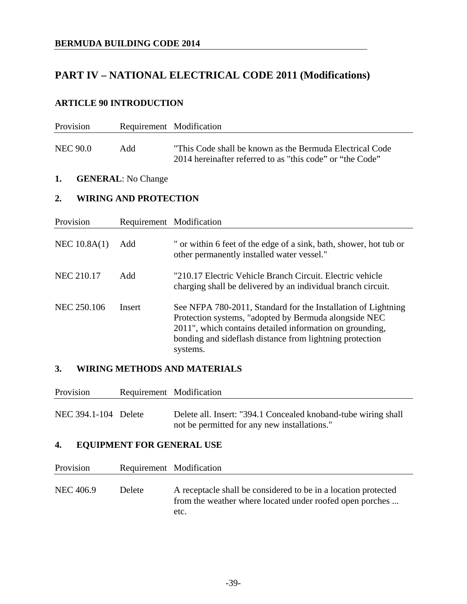# **PART IV – NATIONAL ELECTRICAL CODE 2011 (Modifications)**

### **ARTICLE 90 INTRODUCTION**

| Provision          | Requirement Modification     |                                                                                                                                                                                                                                                            |
|--------------------|------------------------------|------------------------------------------------------------------------------------------------------------------------------------------------------------------------------------------------------------------------------------------------------------|
| <b>NEC 90.0</b>    | Add                          | "This Code shall be known as the Bermuda Electrical Code"<br>2014 hereinafter referred to as "this code" or "the Code"                                                                                                                                     |
| 1.                 | <b>GENERAL:</b> No Change    |                                                                                                                                                                                                                                                            |
| 2.                 | <b>WIRING AND PROTECTION</b> |                                                                                                                                                                                                                                                            |
| Provision          | Requirement Modification     |                                                                                                                                                                                                                                                            |
| NEC $10.8A(1)$     | Add                          | " or within 6 feet of the edge of a sink, bath, shower, hot tub or<br>other permanently installed water vessel."                                                                                                                                           |
| <b>NEC 210.17</b>  | Add                          | "210.17 Electric Vehicle Branch Circuit. Electric vehicle<br>charging shall be delivered by an individual branch circuit.                                                                                                                                  |
| <b>NEC 250.106</b> | Insert                       | See NFPA 780-2011, Standard for the Installation of Lightning<br>Protection systems, "adopted by Bermuda alongside NEC<br>2011", which contains detailed information on grounding,<br>bonding and sideflash distance from lightning protection<br>systems. |

#### **3. WIRING METHODS AND MATERIALS**

| Provision            |                                  | Requirement Modification                                                                                       |
|----------------------|----------------------------------|----------------------------------------------------------------------------------------------------------------|
| NEC 394.1-104 Delete |                                  | Delete all. Insert: "394.1 Concealed knoband-tube wiring shall<br>not be permitted for any new installations." |
| 4.                   | <b>EQUIPMENT FOR GENERAL USE</b> |                                                                                                                |
| Provision            |                                  | Requirement Modification                                                                                       |
| <b>NEC 406.9</b>     | Delete                           | A receptacle shall be considered to be in a location protected                                                 |

from the weather where located under roofed open porches ... etc.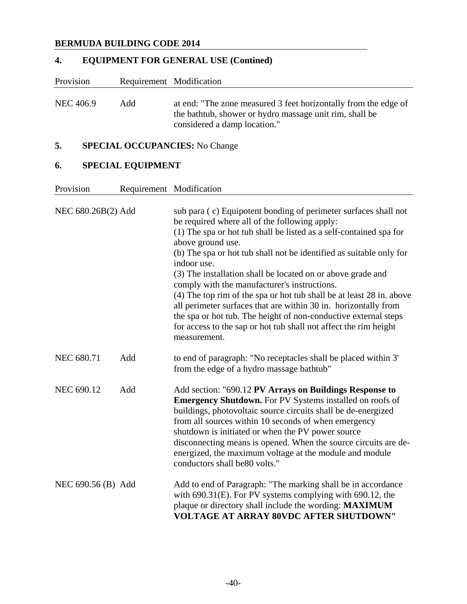# **4. EQUIPMENT FOR GENERAL USE (Contined)**

| Provision |     | Requirement Modification                                                                                                                                   |
|-----------|-----|------------------------------------------------------------------------------------------------------------------------------------------------------------|
| NEC 406.9 | Add | at end: "The zone measured 3 feet horizontally from the edge of<br>the bathtub, shower or hydro massage unit rim, shall be<br>considered a damp location." |

# **5. SPECIAL OCCUPANCIES:** No Change

# **6. SPECIAL EQUIPMENT**

Provision Requirement Modification

| NEC 680.26B(2) Add |     | sub para (c) Equipotent bonding of perimeter surfaces shall not<br>be required where all of the following apply:<br>(1) The spa or hot tub shall be listed as a self-contained spa for<br>above ground use.<br>(b) The spa or hot tub shall not be identified as suitable only for<br>indoor use.<br>(3) The installation shall be located on or above grade and<br>comply with the manufacturer's instructions.<br>(4) The top rim of the spa or hot tub shall be at least 28 in. above<br>all perimeter surfaces that are within 30 in. horizontally from<br>the spa or hot tub. The height of non-conductive external steps<br>for access to the sap or hot tub shall not affect the rim height<br>measurement. |
|--------------------|-----|--------------------------------------------------------------------------------------------------------------------------------------------------------------------------------------------------------------------------------------------------------------------------------------------------------------------------------------------------------------------------------------------------------------------------------------------------------------------------------------------------------------------------------------------------------------------------------------------------------------------------------------------------------------------------------------------------------------------|
| <b>NEC 680.71</b>  | Add | to end of paragraph: "No receptacles shall be placed within 3"<br>from the edge of a hydro massage bathtub"                                                                                                                                                                                                                                                                                                                                                                                                                                                                                                                                                                                                        |
| <b>NEC 690.12</b>  | Add | Add section: "690.12 PV Arrays on Buildings Response to<br><b>Emergency Shutdown.</b> For PV Systems installed on roofs of<br>buildings, photovoltaic source circuits shall be de-energized<br>from all sources within 10 seconds of when emergency<br>shutdown is initiated or when the PV power source<br>disconnecting means is opened. When the source circuits are de-<br>energized, the maximum voltage at the module and module<br>conductors shall be80 volts."                                                                                                                                                                                                                                            |
| NEC 690.56 (B) Add |     | Add to end of Paragraph: "The marking shall be in accordance<br>with $690.31(E)$ . For PV systems complying with $690.12$ , the<br>plaque or directory shall include the wording: MAXIMUM<br>VOLTAGE AT ARRAY 80VDC AFTER SHUTDOWN"                                                                                                                                                                                                                                                                                                                                                                                                                                                                                |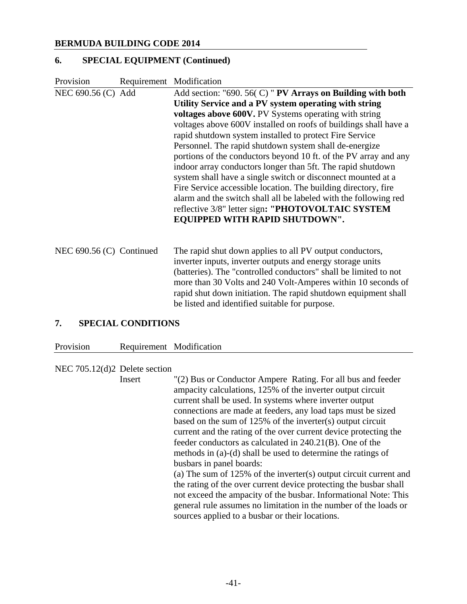#### **6. SPECIAL EQUIPMENT (Continued)**

| Provision                | Requirement Modification                                                                                                                                                                                                                                                                                                                                                                                                                                                                                                                                                                                                                                                                                                                                                                                         |
|--------------------------|------------------------------------------------------------------------------------------------------------------------------------------------------------------------------------------------------------------------------------------------------------------------------------------------------------------------------------------------------------------------------------------------------------------------------------------------------------------------------------------------------------------------------------------------------------------------------------------------------------------------------------------------------------------------------------------------------------------------------------------------------------------------------------------------------------------|
| NEC 690.56 (C) Add       | Add section: "690. 56( $C$ ) " PV Arrays on Building with both<br>Utility Service and a PV system operating with string<br><b>voltages above 600V.</b> PV Systems operating with string<br>voltages above 600V installed on roofs of buildings shall have a<br>rapid shutdown system installed to protect Fire Service<br>Personnel. The rapid shutdown system shall de-energize<br>portions of the conductors beyond 10 ft. of the PV array and any<br>indoor array conductors longer than 5ft. The rapid shutdown<br>system shall have a single switch or disconnect mounted at a<br>Fire Service accessible location. The building directory, fire<br>alarm and the switch shall all be labeled with the following red<br>reflective 3/8" letter sign: "PHOTOVOLTAIC SYSTEM<br>EQUIPPED WITH RAPID SHUTDOWN". |
| NEC 690.56 (C) Continued | The rapid shut down applies to all PV output conductors,<br>inverter inputs, inverter outputs and energy storage units<br>(batteries). The "controlled conductors" shall be limited to not<br>more than 30 Volts and 240 Volt-Amperes within 10 seconds of<br>rapid shut down initiation. The rapid shutdown equipment shall<br>be listed and identified suitable for purpose.                                                                                                                                                                                                                                                                                                                                                                                                                                   |

#### **7. SPECIAL CONDITIONS**

#### Provision Requirement Modification

#### NEC 705.12(d)2 Delete section

 Insert "(2) Bus or Conductor Ampere Rating. For all bus and feeder ampacity calculations, 125% of the inverter output circuit current shall be used. In systems where inverter output connections are made at feeders, any load taps must be sized based on the sum of 125% of the inverter(s) output circuit current and the rating of the over current device protecting the feeder conductors as calculated in 240.21(B). One of the methods in (a)-(d) shall be used to determine the ratings of busbars in panel boards:

 (a) The sum of 125% of the inverter(s) output circuit current and the rating of the over current device protecting the busbar shall not exceed the ampacity of the busbar. Informational Note: This general rule assumes no limitation in the number of the loads or sources applied to a busbar or their locations.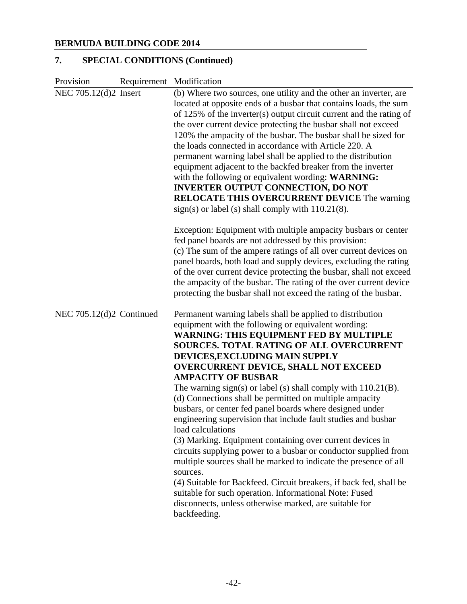# **7. SPECIAL CONDITIONS (Continued)**

| Provision                | Requirement Modification                                                                                                                                                                                                                                                                                                                                                                                                                                                                                                                                                                                                                                                                                                                                                                                                                                                                                                                                                                                                                       |
|--------------------------|------------------------------------------------------------------------------------------------------------------------------------------------------------------------------------------------------------------------------------------------------------------------------------------------------------------------------------------------------------------------------------------------------------------------------------------------------------------------------------------------------------------------------------------------------------------------------------------------------------------------------------------------------------------------------------------------------------------------------------------------------------------------------------------------------------------------------------------------------------------------------------------------------------------------------------------------------------------------------------------------------------------------------------------------|
| NEC 705.12(d)2 Insert    | (b) Where two sources, one utility and the other an inverter, are<br>located at opposite ends of a busbar that contains loads, the sum<br>of 125% of the inverter(s) output circuit current and the rating of<br>the over current device protecting the busbar shall not exceed<br>120% the ampacity of the busbar. The busbar shall be sized for<br>the loads connected in accordance with Article 220. A<br>permanent warning label shall be applied to the distribution<br>equipment adjacent to the backfed breaker from the inverter<br>with the following or equivalent wording: WARNING:<br><b>INVERTER OUTPUT CONNECTION, DO NOT</b><br><b>RELOCATE THIS OVERCURRENT DEVICE The warning</b><br>sign(s) or label (s) shall comply with $110.21(8)$ .                                                                                                                                                                                                                                                                                    |
|                          | Exception: Equipment with multiple ampacity busbars or center<br>fed panel boards are not addressed by this provision:<br>(c) The sum of the ampere ratings of all over current devices on<br>panel boards, both load and supply devices, excluding the rating<br>of the over current device protecting the busbar, shall not exceed<br>the ampacity of the busbar. The rating of the over current device<br>protecting the busbar shall not exceed the rating of the busbar.                                                                                                                                                                                                                                                                                                                                                                                                                                                                                                                                                                  |
| NEC 705.12(d)2 Continued | Permanent warning labels shall be applied to distribution<br>equipment with the following or equivalent wording:<br><b>WARNING: THIS EQUIPMENT FED BY MULTIPLE</b><br><b>SOURCES. TOTAL RATING OF ALL OVERCURRENT</b><br>DEVICES, EXCLUDING MAIN SUPPLY<br><b>OVERCURRENT DEVICE, SHALL NOT EXCEED</b><br><b>AMPACITY OF BUSBAR</b><br>The warning sign(s) or label (s) shall comply with $110.21(B)$ .<br>(d) Connections shall be permitted on multiple ampacity<br>busbars, or center fed panel boards where designed under<br>engineering supervision that include fault studies and busbar<br>load calculations<br>(3) Marking. Equipment containing over current devices in<br>circuits supplying power to a busbar or conductor supplied from<br>multiple sources shall be marked to indicate the presence of all<br>sources.<br>(4) Suitable for Backfeed. Circuit breakers, if back fed, shall be<br>suitable for such operation. Informational Note: Fused<br>disconnects, unless otherwise marked, are suitable for<br>backfeeding. |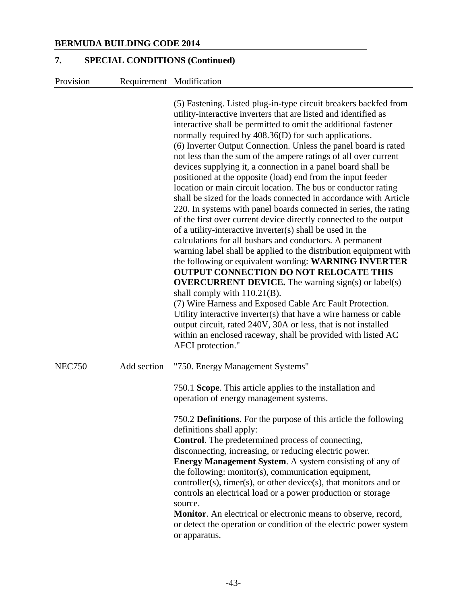#### **7. SPECIAL CONDITIONS (Continued)**

Provision Requirement Modification

 (5) Fastening. Listed plug-in-type circuit breakers backfed from utility-interactive inverters that are listed and identified as interactive shall be permitted to omit the additional fastener normally required by 408.36(D) for such applications. (6) Inverter Output Connection. Unless the panel board is rated not less than the sum of the ampere ratings of all over current devices supplying it, a connection in a panel board shall be positioned at the opposite (load) end from the input feeder location or main circuit location. The bus or conductor rating shall be sized for the loads connected in accordance with Article 220. In systems with panel boards connected in series, the rating of the first over current device directly connected to the output of a utility-interactive inverter(s) shall be used in the calculations for all busbars and conductors. A permanent warning label shall be applied to the distribution equipment with the following or equivalent wording: **WARNING INVERTER OUTPUT CONNECTION DO NOT RELOCATE THIS OVERCURRENT DEVICE.** The warning sign(s) or label(s) shall comply with 110.21(B). (7) Wire Harness and Exposed Cable Arc Fault Protection. Utility interactive inverter(s) that have a wire harness or cable output circuit, rated 240V, 30A or less, that is not installed within an enclosed raceway, shall be provided with listed AC AFCI protection." NEC750 Add section "750. Energy Management Systems" 750.1 **Scope**. This article applies to the installation and operation of energy management systems. 750.2 **Definitions**. For the purpose of this article the following definitions shall apply: **Control**. The predetermined process of connecting, disconnecting, increasing, or reducing electric power.  **Energy Management System**. A system consisting of any of the following: monitor(s), communication equipment, controller(s), timer(s), or other device(s), that monitors and or controls an electrical load or a power production or storage source.  **Monitor**. An electrical or electronic means to observe, record,

or detect the operation or condition of the electric power system or apparatus.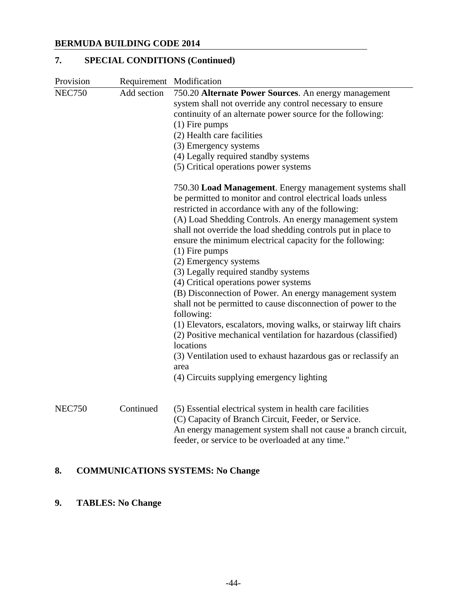# **7. SPECIAL CONDITIONS (Continued)**

| Provision     |             | Requirement Modification                                                    |
|---------------|-------------|-----------------------------------------------------------------------------|
| <b>NEC750</b> | Add section | 750.20 Alternate Power Sources. An energy management                        |
|               |             | system shall not override any control necessary to ensure                   |
|               |             | continuity of an alternate power source for the following:                  |
|               |             | $(1)$ Fire pumps                                                            |
|               |             | (2) Health care facilities                                                  |
|               |             | (3) Emergency systems                                                       |
|               |             | (4) Legally required standby systems                                        |
|               |             | (5) Critical operations power systems                                       |
|               |             | 750.30 Load Management. Energy management systems shall                     |
|               |             | be permitted to monitor and control electrical loads unless                 |
|               |             | restricted in accordance with any of the following:                         |
|               |             | (A) Load Shedding Controls. An energy management system                     |
|               |             | shall not override the load shedding controls put in place to               |
|               |             | ensure the minimum electrical capacity for the following:                   |
|               |             | $(1)$ Fire pumps                                                            |
|               |             | (2) Emergency systems                                                       |
|               |             | (3) Legally required standby systems                                        |
|               |             | (4) Critical operations power systems                                       |
|               |             | (B) Disconnection of Power. An energy management system                     |
|               |             | shall not be permitted to cause disconnection of power to the<br>following: |
|               |             | (1) Elevators, escalators, moving walks, or stairway lift chairs            |
|               |             | (2) Positive mechanical ventilation for hazardous (classified)              |
|               |             | locations                                                                   |
|               |             | (3) Ventilation used to exhaust hazardous gas or reclassify an              |
|               |             | area                                                                        |
|               |             | (4) Circuits supplying emergency lighting                                   |
| <b>NEC750</b> | Continued   | (5) Essential electrical system in health care facilities                   |
|               |             | (C) Capacity of Branch Circuit, Feeder, or Service.                         |
|               |             | An energy management system shall not cause a branch circuit,               |
|               |             | feeder, or service to be overloaded at any time."                           |

# **8. COMMUNICATIONS SYSTEMS: No Change**

# **9. TABLES: No Change**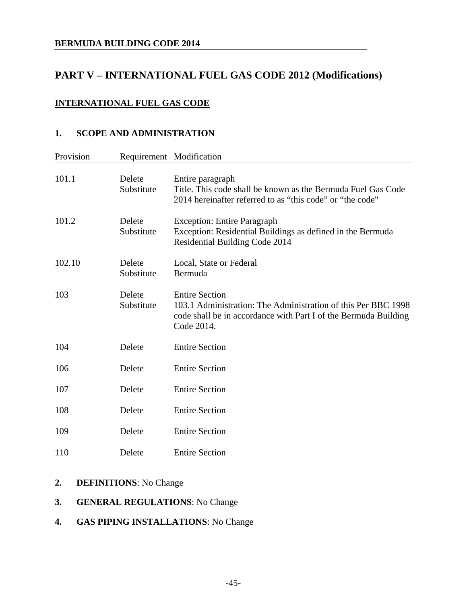# **PART V – INTERNATIONAL FUEL GAS CODE 2012 (Modifications)**

#### **INTERNATIONAL FUEL GAS CODE**

#### **1. SCOPE AND ADMINISTRATION**

| Provision | Requirement Modification |                                                                                                                                                                         |
|-----------|--------------------------|-------------------------------------------------------------------------------------------------------------------------------------------------------------------------|
| 101.1     | Delete<br>Substitute     | Entire paragraph<br>Title. This code shall be known as the Bermuda Fuel Gas Code<br>2014 hereinafter referred to as "this code" or "the code"                           |
| 101.2     | Delete<br>Substitute     | <b>Exception: Entire Paragraph</b><br>Exception: Residential Buildings as defined in the Bermuda<br>Residential Building Code 2014                                      |
| 102.10    | Delete<br>Substitute     | Local, State or Federal<br>Bermuda                                                                                                                                      |
| 103       | Delete<br>Substitute     | <b>Entire Section</b><br>103.1 Administration: The Administration of this Per BBC 1998<br>code shall be in accordance with Part I of the Bermuda Building<br>Code 2014. |
| 104       | Delete                   | <b>Entire Section</b>                                                                                                                                                   |
| 106       | Delete                   | <b>Entire Section</b>                                                                                                                                                   |
| 107       | Delete                   | <b>Entire Section</b>                                                                                                                                                   |
| 108       | Delete                   | <b>Entire Section</b>                                                                                                                                                   |
| 109       | Delete                   | <b>Entire Section</b>                                                                                                                                                   |
| 110       | Delete                   | <b>Entire Section</b>                                                                                                                                                   |

# **2. DEFINITIONS**: No Change

#### **3. GENERAL REGULATIONS**: No Change

### **4. GAS PIPING INSTALLATIONS**: No Change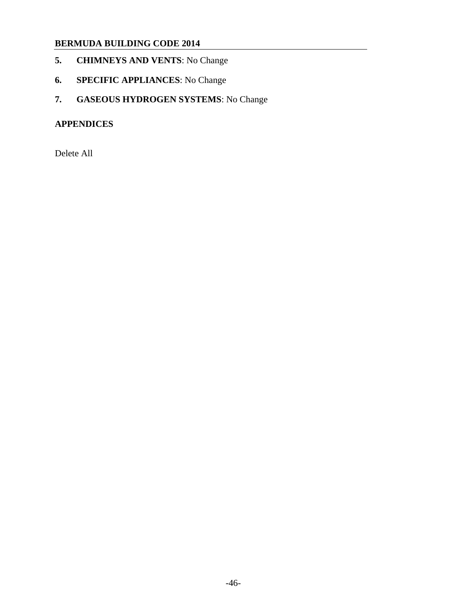- **5. CHIMNEYS AND VENTS**: No Change
- **6. SPECIFIC APPLIANCES**: No Change
- **7. GASEOUS HYDROGEN SYSTEMS**: No Change

### **APPENDICES**

Delete All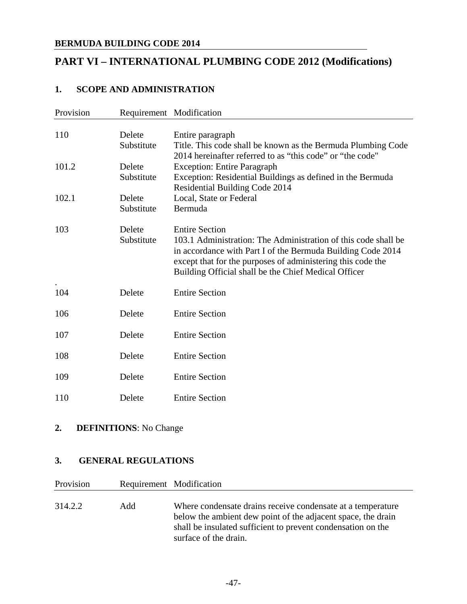# **PART VI – INTERNATIONAL PLUMBING CODE 2012 (Modifications)**

### **1. SCOPE AND ADMINISTRATION**

| Provision |                      | Requirement Modification                                                                                                                                                                                                                                                      |
|-----------|----------------------|-------------------------------------------------------------------------------------------------------------------------------------------------------------------------------------------------------------------------------------------------------------------------------|
| 110       | Delete<br>Substitute | Entire paragraph<br>Title. This code shall be known as the Bermuda Plumbing Code                                                                                                                                                                                              |
| 101.2     | Delete<br>Substitute | 2014 hereinafter referred to as "this code" or "the code"<br><b>Exception: Entire Paragraph</b><br>Exception: Residential Buildings as defined in the Bermuda<br>Residential Building Code 2014                                                                               |
| 102.1     | Delete<br>Substitute | Local, State or Federal<br>Bermuda                                                                                                                                                                                                                                            |
| 103       | Delete<br>Substitute | <b>Entire Section</b><br>103.1 Administration: The Administration of this code shall be<br>in accordance with Part I of the Bermuda Building Code 2014<br>except that for the purposes of administering this code the<br>Building Official shall be the Chief Medical Officer |
| 104       | Delete               | <b>Entire Section</b>                                                                                                                                                                                                                                                         |
| 106       | Delete               | <b>Entire Section</b>                                                                                                                                                                                                                                                         |
| 107       | Delete               | <b>Entire Section</b>                                                                                                                                                                                                                                                         |
| 108       | Delete               | <b>Entire Section</b>                                                                                                                                                                                                                                                         |
| 109       | Delete               | <b>Entire Section</b>                                                                                                                                                                                                                                                         |
| 110       | Delete               | <b>Entire Section</b>                                                                                                                                                                                                                                                         |

### **2. DEFINITIONS**: No Change

### **3. GENERAL REGULATIONS**

| Provision |     | Requirement Modification                                                                                                                                                                    |
|-----------|-----|---------------------------------------------------------------------------------------------------------------------------------------------------------------------------------------------|
| 314.2.2   | Add | Where condensate drains receive condensate at a temperature<br>below the ambient dew point of the adjacent space, the drain<br>shall be insulated sufficient to prevent condensation on the |
|           |     | surface of the drain.                                                                                                                                                                       |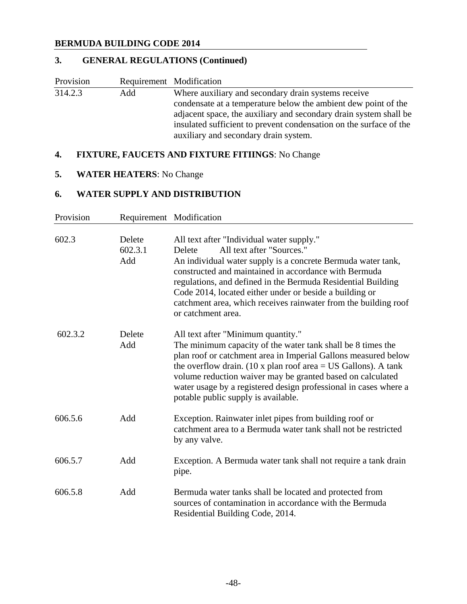# **3. GENERAL REGULATIONS (Continued)**

| Provision | Requirement Modification        |                                                                                                                                                                                                                                                                                                                                                                                                                               |
|-----------|---------------------------------|-------------------------------------------------------------------------------------------------------------------------------------------------------------------------------------------------------------------------------------------------------------------------------------------------------------------------------------------------------------------------------------------------------------------------------|
| 314.2.3   | Add                             | Where auxiliary and secondary drain systems receive<br>condensate at a temperature below the ambient dew point of the<br>adjacent space, the auxiliary and secondary drain system shall be<br>insulated sufficient to prevent condensation on the surface of the<br>auxiliary and secondary drain system.                                                                                                                     |
| 4.        |                                 | <b>FIXTURE, FAUCETS AND FIXTURE FITHINGS: No Change</b>                                                                                                                                                                                                                                                                                                                                                                       |
| 5.        | <b>WATER HEATERS:</b> No Change |                                                                                                                                                                                                                                                                                                                                                                                                                               |
| 6.        |                                 | <b>WATER SUPPLY AND DISTRIBUTION</b>                                                                                                                                                                                                                                                                                                                                                                                          |
| Provision |                                 | Requirement Modification                                                                                                                                                                                                                                                                                                                                                                                                      |
| 602.3     | Delete<br>602.3.1<br>Add        | All text after "Individual water supply."<br>All text after "Sources."<br>Delete<br>An individual water supply is a concrete Bermuda water tank,<br>constructed and maintained in accordance with Bermuda<br>regulations, and defined in the Bermuda Residential Building<br>Code 2014, located either under or beside a building or<br>catchment area, which receives rainwater from the building roof<br>or catchment area. |
| 602.3.2   | Delete<br>Add                   | All text after "Minimum quantity."<br>The minimum capacity of the water tank shall be 8 times the<br>plan roof or catchment area in Imperial Gallons measured below<br>the overflow drain. (10 x plan roof area $=$ US Gallons). A tank<br>volume reduction waiver may be granted based on calculated<br>water usage by a registered design professional in cases where a<br>potable public supply is available.              |
| 606.5.6   | Add                             | Exception. Rainwater inlet pipes from building roof or<br>catchment area to a Bermuda water tank shall not be restricted<br>by any valve.                                                                                                                                                                                                                                                                                     |
| 606.5.7   | Add                             | Exception. A Bermuda water tank shall not require a tank drain<br>pipe.                                                                                                                                                                                                                                                                                                                                                       |
| 606.5.8   | Add                             | Bermuda water tanks shall be located and protected from<br>sources of contamination in accordance with the Bermuda<br>Residential Building Code, 2014.                                                                                                                                                                                                                                                                        |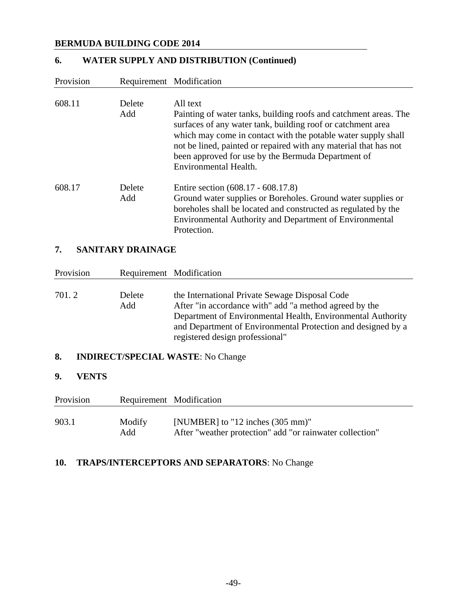# **6. WATER SUPPLY AND DISTRIBUTION (Continued)**

| Provision          | Requirement Modification |                                                                                                                                                                                                                                                                                                                                                                 |
|--------------------|--------------------------|-----------------------------------------------------------------------------------------------------------------------------------------------------------------------------------------------------------------------------------------------------------------------------------------------------------------------------------------------------------------|
| 608.11             | Delete<br>Add            | All text<br>Painting of water tanks, building roofs and catchment areas. The<br>surfaces of any water tank, building roof or catchment area<br>which may come in contact with the potable water supply shall<br>not be lined, painted or repaired with any material that has not<br>been approved for use by the Bermuda Department of<br>Environmental Health. |
| 608.17             | Delete<br>Add            | Entire section (608.17 - 608.17.8)<br>Ground water supplies or Boreholes. Ground water supplies or<br>boreholes shall be located and constructed as regulated by the<br>Environmental Authority and Department of Environmental<br>Protection.                                                                                                                  |
| 7.                 | <b>SANITARY DRAINAGE</b> |                                                                                                                                                                                                                                                                                                                                                                 |
| Provision          | Requirement Modification |                                                                                                                                                                                                                                                                                                                                                                 |
| 701.2              | Delete<br>Add            | the International Private Sewage Disposal Code<br>After "in accordance with" add "a method agreed by the<br>Department of Environmental Health, Environmental Authority<br>and Department of Environmental Protection and designed by a<br>registered design professional"                                                                                      |
| 8.                 |                          | <b>INDIRECT/SPECIAL WASTE:</b> No Change                                                                                                                                                                                                                                                                                                                        |
| 9.<br><b>VENTS</b> |                          |                                                                                                                                                                                                                                                                                                                                                                 |
| Provision          | Requirement Modification |                                                                                                                                                                                                                                                                                                                                                                 |
| 903.1              | Modify<br>Add            | [NUMBER] to "12 inches (305 mm)"<br>After "weather protection" add "or rainwater collection"                                                                                                                                                                                                                                                                    |

# **10. TRAPS/INTERCEPTORS AND SEPARATORS**: No Change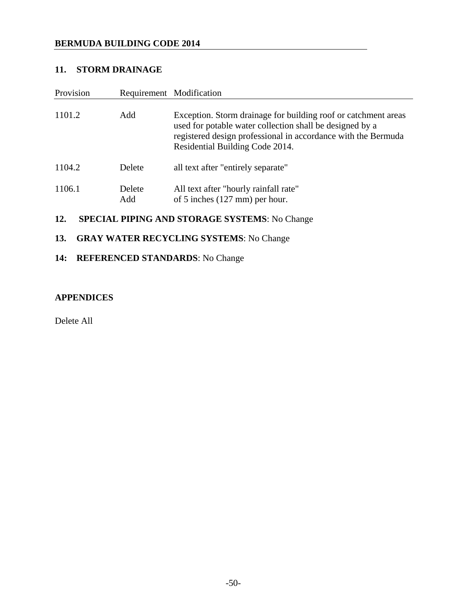## **11. STORM DRAINAGE**

| Provision                                                   | Requirement Modification |                                                                                                                                                                                                                                |  |  |
|-------------------------------------------------------------|--------------------------|--------------------------------------------------------------------------------------------------------------------------------------------------------------------------------------------------------------------------------|--|--|
| 1101.2                                                      | Add                      | Exception. Storm drainage for building roof or catchment areas<br>used for potable water collection shall be designed by a<br>registered design professional in accordance with the Bermuda<br>Residential Building Code 2014. |  |  |
| 1104.2                                                      | Delete                   | all text after "entirely separate"                                                                                                                                                                                             |  |  |
| 1106.1                                                      | Delete<br>Add            | All text after "hourly rainfall rate"<br>of 5 inches $(127 \text{ mm})$ per hour.                                                                                                                                              |  |  |
| <b>SPECIAL PIPING AND STORAGE SYSTEMS: No Change</b><br>12. |                          |                                                                                                                                                                                                                                |  |  |

# **13. GRAY WATER RECYCLING SYSTEMS**: No Change

# **14: REFERENCED STANDARDS**: No Change

### **APPENDICES**

Delete All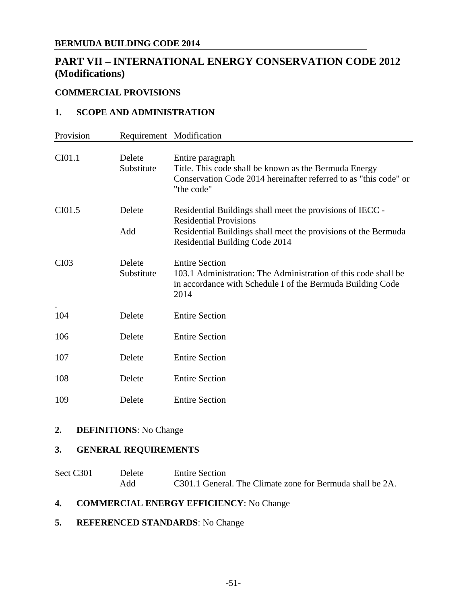# **PART VII – INTERNATIONAL ENERGY CONSERVATION CODE 2012 (Modifications)**

## **COMMERCIAL PROVISIONS**

#### **1. SCOPE AND ADMINISTRATION**

| Provision |                      | Requirement Modification                                                                                                                                                                       |
|-----------|----------------------|------------------------------------------------------------------------------------------------------------------------------------------------------------------------------------------------|
| CI01.1    | Delete<br>Substitute | Entire paragraph<br>Title. This code shall be known as the Bermuda Energy<br>Conservation Code 2014 hereinafter referred to as "this code" or<br>"the code"                                    |
| CI01.5    | Delete<br>Add        | Residential Buildings shall meet the provisions of IECC -<br><b>Residential Provisions</b><br>Residential Buildings shall meet the provisions of the Bermuda<br>Residential Building Code 2014 |
| CI03      | Delete<br>Substitute | <b>Entire Section</b><br>103.1 Administration: The Administration of this code shall be<br>in accordance with Schedule I of the Bermuda Building Code<br>2014                                  |
| 104       | Delete               | <b>Entire Section</b>                                                                                                                                                                          |
| 106       | Delete               | <b>Entire Section</b>                                                                                                                                                                          |
| 107       | Delete               | <b>Entire Section</b>                                                                                                                                                                          |
| 108       | Delete               | <b>Entire Section</b>                                                                                                                                                                          |
| 109       | Delete               | <b>Entire Section</b>                                                                                                                                                                          |

#### **2. DEFINITIONS**: No Change

## **3. GENERAL REQUIREMENTS**

| Sect C301 | <b>Delete</b> | <b>Entire Section</b>                                     |
|-----------|---------------|-----------------------------------------------------------|
|           | Add           | C301.1 General. The Climate zone for Bermuda shall be 2A. |

### **4. COMMERCIAL ENERGY EFFICIENCY**: No Change

**5. REFERENCED STANDARDS**: No Change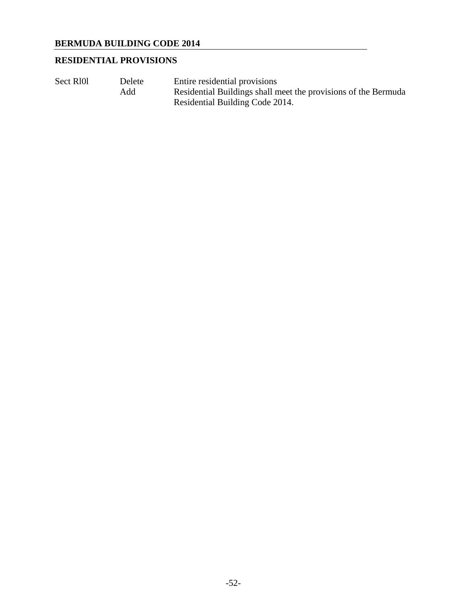# **RESIDENTIAL PROVISIONS**

Sect R<sub>101</sub> Delete Entire residential provisions Add Residential Buildings shall meet the provisions of the Bermuda Residential Building Code 2014.